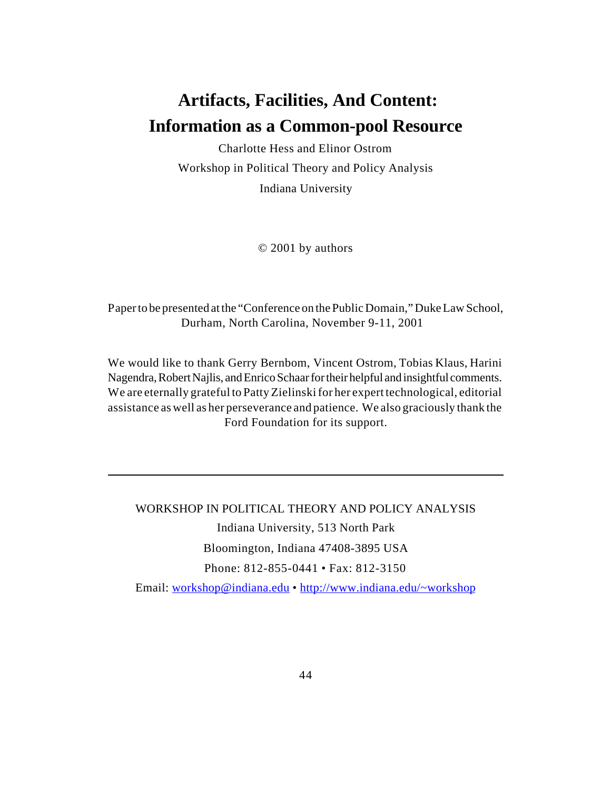# **Artifacts, Facilities, And Content: Information as a Common-pool Resource**

Charlotte Hess and Elinor Ostrom Workshop in Political Theory and Policy Analysis Indiana University

© 2001 by authors

Paper to be presented at the "Conference on the Public Domain," Duke Law School, Durham, North Carolina, November 9-11, 2001

We would like to thank Gerry Bernbom, Vincent Ostrom, Tobias Klaus, Harini Nagendra, Robert Najlis, and Enrico Schaar for their helpful and insightful comments. We are eternally grateful to Patty Zielinski for her expert technological, editorial assistance as well as her perseverance and patience. We also graciously thank the Ford Foundation for its support.

WORKSHOP IN POLITICAL THEORY AND POLICY ANALYSIS Indiana University, 513 North Park Bloomington, Indiana 47408-3895 USA Phone: 812-855-0441 • Fax: 812-3150 Email: workshop@indiana.edu • <http://www.indiana.edu/~workshop>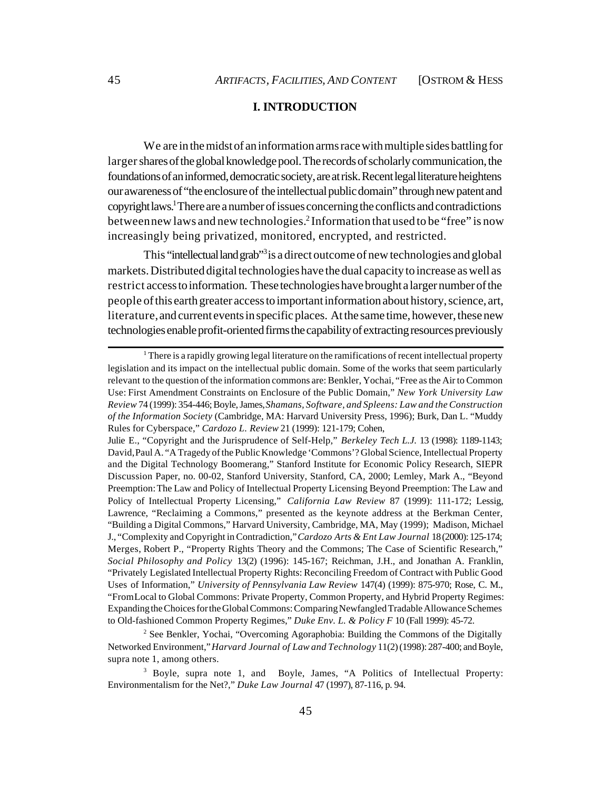# **I. INTRODUCTION**

We are in the midst of an information arms race with multiple sides battling for larger shares of the global knowledge pool. The records of scholarly communication, the foundations of an informed, democratic society, are at risk. Recent legal literature heightens our awareness of "the enclosure of the intellectual public domain" through new patent and copyright laws.<sup>1</sup> There are a number of issues concerning the conflicts and contradictions between new laws and new technologies.<sup>2</sup> Information that used to be "free" is now increasingly being privatized, monitored, encrypted, and restricted.

This "intellectual land grab"<sup>3</sup> is a direct outcome of new technologies and global markets. Distributed digital technologies have the dual capacity to increase as well as restrict access to information. These technologies have brought a larger number of the people of this earth greater access to important information about history, science, art, literature, and current events in specific places. At the same time, however, these new technologies enable profit-oriented firms the capability of extracting resources previously

<sup>2</sup> See Benkler, Yochai, "Overcoming Agoraphobia: Building the Commons of the Digitally Networked Environment," *Harvard Journal of Law and Technology* 11(2) (1998): 287-400; and Boyle, supra note 1, among others.

<sup>&</sup>lt;sup>1</sup> There is a rapidly growing legal literature on the ramifications of recent intellectual property legislation and its impact on the intellectual public domain. Some of the works that seem particularly relevant to the question of the information commons are: Benkler, Yochai, "Free as the Air to Common Use: First Amendment Constraints on Enclosure of the Public Domain," *New York University Law Review* 74 (1999): 354-446; Boyle, James, *Shamans, Software, and Spleens: Law and the Construction of the Information Society* (Cambridge, MA: Harvard University Press, 1996); Burk, Dan L. "Muddy Rules for Cyberspace," *Cardozo L. Review* 21 (1999): 121-179; Cohen, Julie E., "Copyright and the Jurisprudence of Self-Help," *Berkeley Tech L.J.* 13 (1998): 1189-1143;

David, Paul A. "A Tragedy of the Public Knowledge 'Commons'? Global Science, Intellectual Property and the Digital Technology Boomerang," Stanford Institute for Economic Policy Research, SIEPR Discussion Paper, no. 00-02, Stanford University, Stanford, CA, 2000; Lemley, Mark A., "Beyond Preemption: The Law and Policy of Intellectual Property Licensing Beyond Preemption: The Law and Policy of Intellectual Property Licensing," *California Law Review* 87 (1999): 111-172; Lessig, Lawrence, "Reclaiming a Commons," presented as the keynote address at the Berkman Center, "Building a Digital Commons," Harvard University, Cambridge, MA, May (1999); Madison, Michael J., "Complexity and Copyright in Contradiction," *Cardozo Arts & Ent Law Journal* 18 (2000): 125-174; Merges, Robert P., "Property Rights Theory and the Commons; The Case of Scientific Research," *Social Philosophy and Policy* 13(2) (1996): 145-167; Reichman, J.H., and Jonathan A. Franklin, "Privately Legislated Intellectual Property Rights: Reconciling Freedom of Contract with Public Good Uses of Information," *University of Pennsylvania Law Review* 147(4) (1999): 875-970; Rose, C. M., "From Local to Global Commons: Private Property, Common Property, and Hybrid Property Regimes: Expanding the Choices for the Global Commons: Comparing Newfangled Tradable Allowance Schemes to Old-fashioned Common Property Regimes," *Duke Env. L. & Policy F* 10 (Fall 1999): 45-72.

<sup>&</sup>lt;sup>3</sup> Boyle, supra note 1, and Boyle, James, "A Politics of Intellectual Property: Environmentalism for the Net?," *Duke Law Journal* 47 (1997), 87-116, p. 94.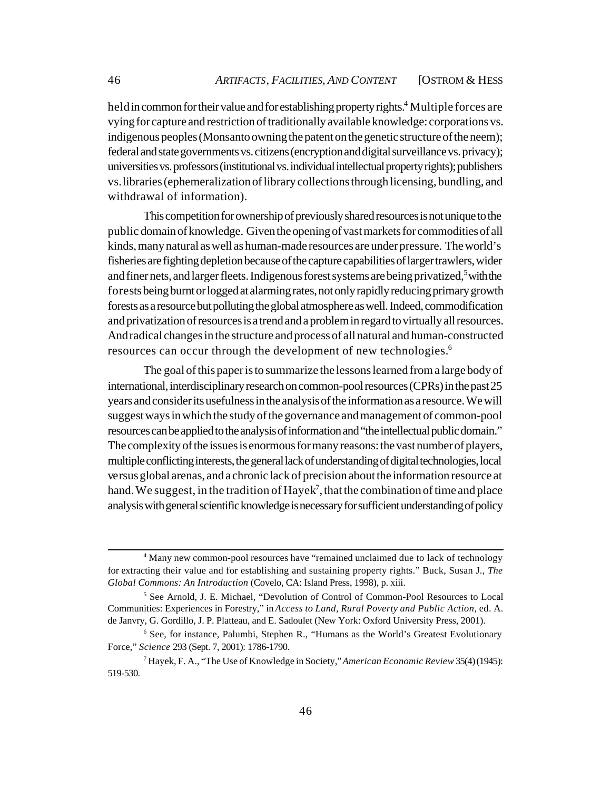held in common for their value and for establishing property rights.<sup>4</sup> Multiple forces are vying for capture and restriction of traditionally available knowledge: corporations vs. indigenous peoples (Monsanto owning the patent on the genetic structure of the neem); federal and state governments vs. citizens (encryption and digital surveillance vs. privacy); universities vs. professors (institutional vs. individual intellectual property rights); publishers vs. libraries (ephemeralization of library collections through licensing, bundling, and withdrawal of information).

This competition for ownership of previously shared resources is not unique to the public domain of knowledge. Given the opening of vast markets for commodities of all kinds, many natural as well as human-made resources are under pressure. The world's fisheries are fighting depletion because of the capture capabilities of larger trawlers, wider and finer nets, and larger fleets. Indigenous forest systems are being privatized,<sup>5</sup> with the forests being burnt or logged at alarming rates, not only rapidly reducing primary growth forests as a resource but polluting the global atmosphere as well. Indeed, commodification and privatization of resources is a trend and a problem in regard to virtually all resources. And radical changes in the structure and process of all natural and human-constructed resources can occur through the development of new technologies.<sup>6</sup>

The goal of this paper is to summarize the lessons learned from a large body of international, interdisciplinary research on common-pool resources (CPRs) in the past 25 years and consider its usefulness in the analysis of the information as a resource. We will suggest ways in which the study of the governance and management of common-pool resources can be applied to the analysis of information and "the intellectual public domain." The complexity of the issues is enormous for many reasons: the vast number of players, multiple conflicting interests, the general lack of understanding of digital technologies, local versus global arenas, and a chronic lack of precision about the information resource at hand. We suggest, in the tradition of Hayek<sup>7</sup>, that the combination of time and place analysis with general scientific knowledge is necessary for sufficient understanding of policy

<sup>&</sup>lt;sup>4</sup> Many new common-pool resources have "remained unclaimed due to lack of technology for extracting their value and for establishing and sustaining property rights." Buck, Susan J., *The Global Commons: An Introduction* (Covelo, CA: Island Press, 1998), p. xiii.

<sup>&</sup>lt;sup>5</sup> See Arnold, J. E. Michael, "Devolution of Control of Common-Pool Resources to Local Communities: Experiences in Forestry," in *Access to Land, Rural Poverty and Public Action*, ed. A. de Janvry, G. Gordillo, J. P. Platteau, and E. Sadoulet (New York: Oxford University Press, 2001).

<sup>&</sup>lt;sup>6</sup> See, for instance, Palumbi, Stephen R., "Humans as the World's Greatest Evolutionary Force," *Science* 293 (Sept. 7, 2001): 1786-1790.

<sup>7</sup> Hayek, F. A., "The Use of Knowledge in Society," *American Economic Review* 35(4) (1945): 519-530.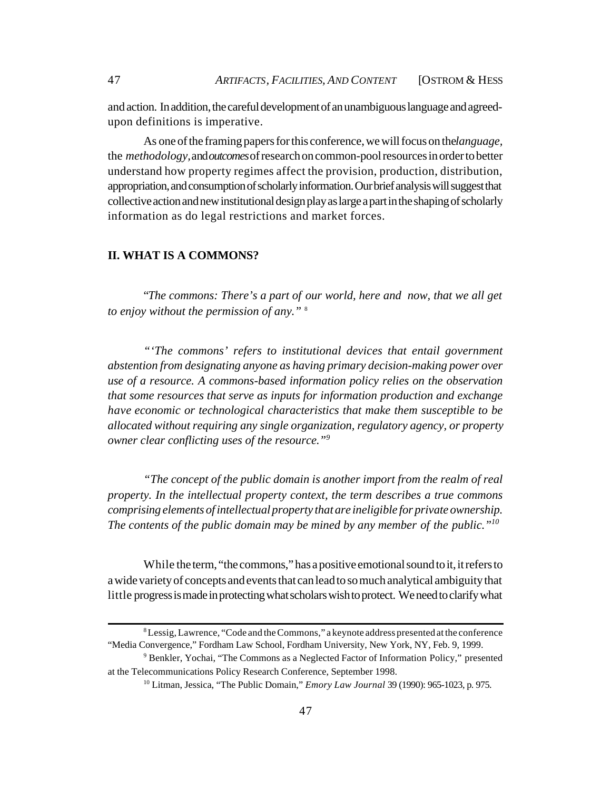and action. In addition, the careful development of an unambiguous language and agreedupon definitions is imperative.

As one of the framing papers for this conference, we will focus on the *language*, the *methodology,* and *outcomes* of research on common-pool resources in order to better understand how property regimes affect the provision, production, distribution, appropriation, and consumption of scholarly information. Our brief analysis will suggest that collective action and new institutional design play as large a part in the shaping of scholarly information as do legal restrictions and market forces.

# **II. WHAT IS A COMMONS?**

"*The commons: There's a part of our world, here and now, that we all get to enjoy without the permission of any."* <sup>8</sup>

*"'The commons' refers to institutional devices that entail government abstention from designating anyone as having primary decision-making power over use of a resource. A commons-based information policy relies on the observation that some resources that serve as inputs for information production and exchange have economic or technological characteristics that make them susceptible to be allocated without requiring any single organization, regulatory agency, or property owner clear conflicting uses of the resource."<sup>9</sup>*

*"The concept of the public domain is another import from the realm of real property. In the intellectual property context, the term describes a true commons comprising elements of intellectual property that are ineligible for private ownership. The contents of the public domain may be mined by any member of the public."<sup>10</sup>*

While the term, "the commons," has a positive emotional sound to it, it refers to a wide variety of concepts and events that can lead to so much analytical ambiguity that little progress is made in protecting what scholars wish to protect. We need to clarify what

<sup>&</sup>lt;sup>8</sup> Lessig, Lawrence, "Code and the Commons," a keynote address presented at the conference "Media Convergence," Fordham Law School, Fordham University, New York, NY, Feb. 9, 1999.

<sup>&</sup>lt;sup>9</sup> Benkler, Yochai, "The Commons as a Neglected Factor of Information Policy," presented at the Telecommunications Policy Research Conference, September 1998.

<sup>10</sup> Litman, Jessica, "The Public Domain," *Emory Law Journal* 39 (1990): 965-1023, p. 975.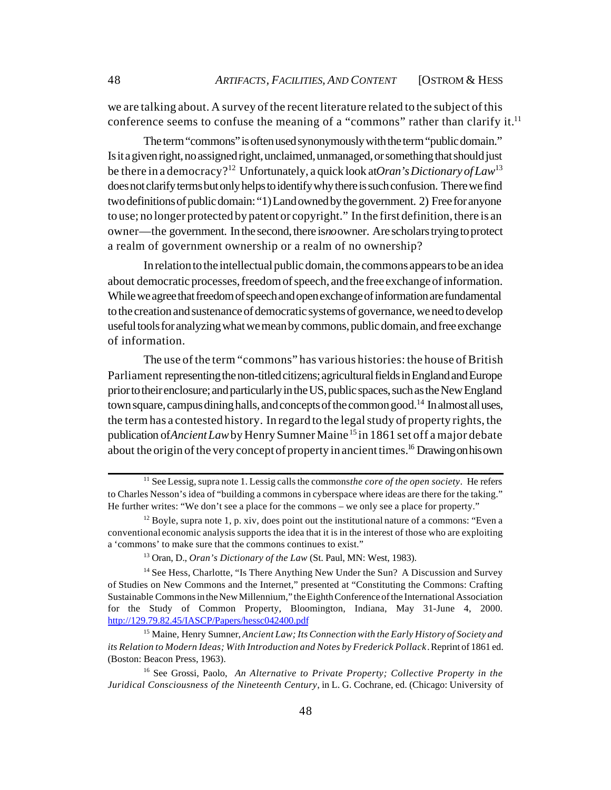we are talking about. A survey of the recent literature related to the subject of this conference seems to confuse the meaning of a "commons" rather than clarify it.<sup>11</sup>

The term "commons" is often used synonymously with the term "public domain." Is it a given right, no assigned right, unclaimed, unmanaged, or something that should just be there in a democracy?<sup>12</sup> Unfortunately, a quick look at *Oran's Dictionary of Law*<sup>13</sup> does not clarify terms but only helps to identify why there is such confusion. There we find two definitions of public domain: "1) Land owned by the government. 2) Free for anyone to use; no longer protected by patent or copyright." In the first definition, there is an owner—the government. In the second, there is *no* owner. Are scholars trying to protect a realm of government ownership or a realm of no ownership?

In relation to the intellectual public domain, the commons appears to be an idea about democratic processes, freedom of speech, and the free exchange of information. While we agree that freedom of speech and open exchange of information are fundamental to the creation and sustenance of democratic systems of governance, we need to develop useful tools for analyzing what we mean by commons, public domain, and free exchange of information.

The use of the term "commons" has various histories: the house of British Parliament representing the non-titled citizens; agricultural fields in England and Europe prior to their enclosure; and particularly in the US, public spaces, such as the New England town square, campus dining halls, and concepts of the common good.<sup>14</sup> In almost all uses, the term has a contested history. In regard to the legal study of property rights, the publication of *Ancient Law* by Henry Sumner Maine <sup>15</sup> in 1861 set off a major debate about the origin of the very concept of property in ancient times.<sup>16</sup> Drawing on his own

<sup>&</sup>lt;sup>11</sup> See Lessig, supra note 1. Lessig calls the commons *the core of the open society*. He refers to Charles Nesson's idea of "building a commons in cyberspace where ideas are there for the taking." He further writes: "We don't see a place for the commons – we only see a place for property."

 $12$  Boyle, supra note 1, p. xiv, does point out the institutional nature of a commons: "Even a conventional economic analysis supports the idea that it is in the interest of those who are exploiting a 'commons' to make sure that the commons continues to exist."

<sup>13</sup> Oran, D., *Oran's Dictionary of the Law* (St. Paul, MN: West, 1983).

<sup>&</sup>lt;sup>14</sup> See Hess, Charlotte, "Is There Anything New Under the Sun? A Discussion and Survey of Studies on New Commons and the Internet," presented at "Constituting the Commons: Crafting Sustainable Commons in the New Millennium," the Eighth Conference of the International Association for the Study of Common Property, Bloomington, Indiana, May 31-June 4, 2000. <http://129.79.82.45/IASCP/Papers/hessc042400.pdf>

<sup>15</sup> Maine, Henry Sumner, *Ancient Law; Its Connection with the Early History of Society and its Relation to Modern Ideas; With Introduction and Notes by Frederick Pollack*. Reprint of 1861 ed. (Boston: Beacon Press, 1963).

<sup>16</sup> See Grossi, Paolo, *An Alternative to Private Property; Collective Property in the Juridical Consciousness of the Nineteenth Century*, in L. G. Cochrane, ed. (Chicago: University of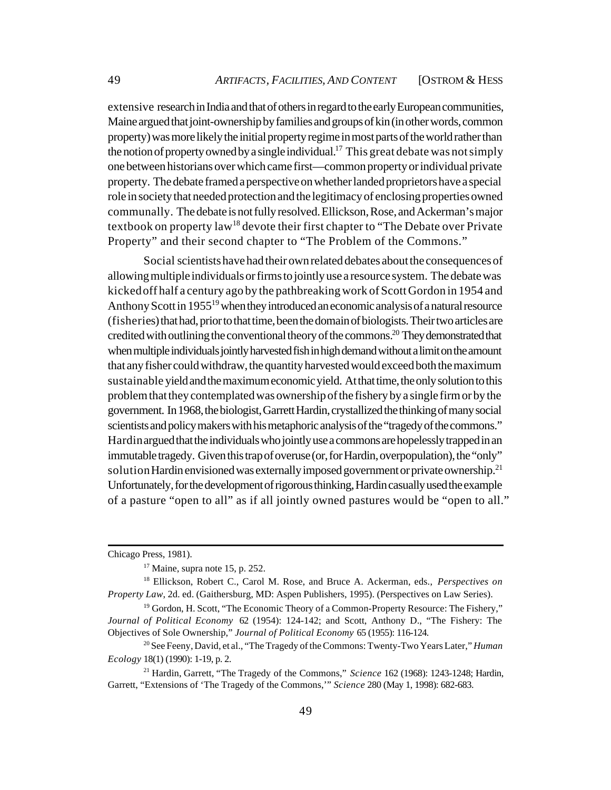extensive research in India and that of others in regard to the early European communities, Maine argued that joint-ownership by families and groups of kin (in other words, common property) was more likely the initial property regime in most parts of the world rather than the notion of property owned by a single individual.<sup>17</sup> This great debate was not simply one between historians over which came first—common property or individual private property. The debate framed a perspective on whether landed proprietors have a special role in society that needed protection and the legitimacy of enclosing properties owned communally. The debate is not fully resolved. Ellickson, Rose, and Ackerman's major textbook on property law<sup>18</sup> devote their first chapter to "The Debate over Private" Property" and their second chapter to "The Problem of the Commons."

Social scientists have had their own related debates about the consequences of allowing multiple individuals or firms to jointly use a resource system. The debate was kicked off half a century ago by the pathbreaking work of Scott Gordon in 1954 and Anthony Scott in 1955<sup>19</sup> when they introduced an economic analysis of a natural resource (fisheries) that had, prior to that time, been the domain of biologists. Their two articles are credited with outlining the conventional theory of the commons.<sup>20</sup> They demonstrated that when multiple individuals jointly harvested fish in high demand without a limit on the amount that any fisher could withdraw, the quantity harvested would exceed both the maximum sustainable yield and the maximum economic yield. At that time, the only solution to this problem that they contemplated was ownership of the fishery by a single firm or by the government. In 1968, the biologist, Garrett Hardin, crystallized the thinking of many social scientists and policy makers with his metaphoric analysis of the "tragedy of the commons." Hardin argued that the individuals who jointly use a commons are hopelessly trapped in an immutable tragedy. Given this trap of overuse (or, for Hardin, overpopulation), the "only" solution Hardin envisioned was externally imposed government or private ownership.<sup>21</sup> Unfortunately, for the development of rigorous thinking, Hardin casually used the example of a pasture "open to all" as if all jointly owned pastures would be "open to all."

Chicago Press, 1981).

 $17$  Maine, supra note 15, p. 252.

<sup>18</sup> Ellickson, Robert C., Carol M. Rose, and Bruce A. Ackerman, eds., *Perspectives on Property Law*, 2d. ed. (Gaithersburg, MD: Aspen Publishers, 1995). (Perspectives on Law Series).

<sup>&</sup>lt;sup>19</sup> Gordon, H. Scott, "The Economic Theory of a Common-Property Resource: The Fishery," *Journal of Political Economy* 62 (1954): 124-142; and Scott, Anthony D., "The Fishery: The Objectives of Sole Ownership," *Journal of Political Economy* 65 (1955): 116-124.

<sup>20</sup> See Feeny, David, et al., "The Tragedy of the Commons: Twenty-Two Years Later," *Human Ecology* 18(1) (1990): 1-19, p. 2.

<sup>21</sup> Hardin, Garrett, "The Tragedy of the Commons," *Science* 162 (1968): 1243-1248; Hardin, Garrett, "Extensions of 'The Tragedy of the Commons,'" *Science* 280 (May 1, 1998): 682-683.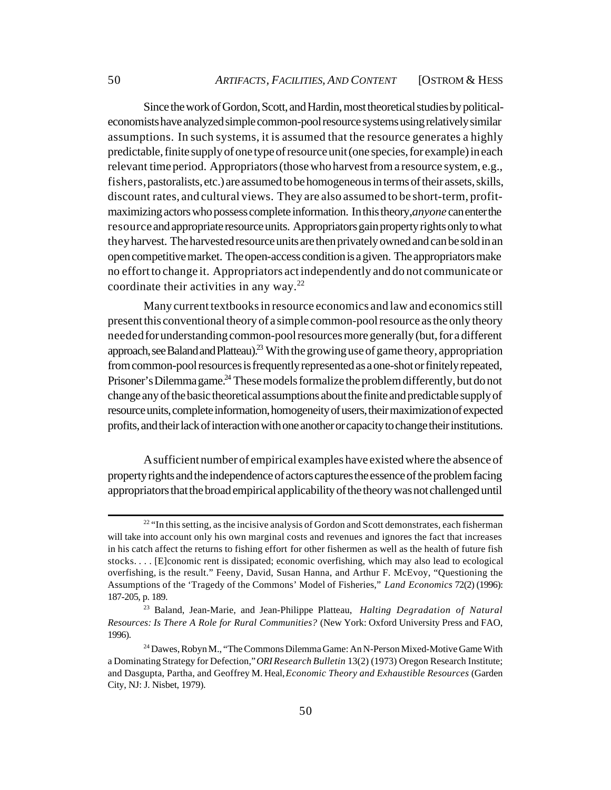Since the work of Gordon, Scott, and Hardin, most theoretical studies by politicaleconomists have analyzed simple common-pool resource systems using relatively similar assumptions. In such systems, it is assumed that the resource generates a highly predictable, finite supply of one type of resource unit (one species, for example) in each relevant time period. Appropriators (those who harvest from a resource system, e.g., fishers, pastoralists, etc.) are assumed to be homogeneous in terms of their assets, skills, discount rates, and cultural views. They are also assumed to be short-term, profitmaximizing actors who possess complete information. In this theory, *anyone* can enter the resource and appropriate resource units. Appropriators gain property rights only to what they harvest. The harvested resource units are then privately owned and can be sold in an open competitive market. The open-access condition is a given. The appropriators make no effort to change it. Appropriators act independently and do not communicate or coordinate their activities in any way.<sup>22</sup>

Many current textbooks in resource economics and law and economics still present this conventional theory of a simple common-pool resource as the only theory needed for understanding common-pool resources more generally (but, for a different approach, see Baland and Platteau).<sup>23</sup> With the growing use of game theory, appropriation from common-pool resources is frequently represented as a one-shot or finitely repeated, Prisoner's Dilemma game.<sup>24</sup> These models formalize the problem differently, but do not change any of the basic theoretical assumptions about the finite and predictable supply of resource units, complete information, homogeneity of users, their maximization of expected profits, and their lack of interaction with one another or capacity to change their institutions.

A sufficient number of empirical examples have existed where the absence of property rights and the independence of actors captures the essence of the problem facing appropriators that the broad empirical applicability of the theory was not challenged until

<sup>&</sup>lt;sup>22</sup> "In this setting, as the incisive analysis of Gordon and Scott demonstrates, each fisherman will take into account only his own marginal costs and revenues and ignores the fact that increases in his catch affect the returns to fishing effort for other fishermen as well as the health of future fish stocks. . . . [E]conomic rent is dissipated; economic overfishing, which may also lead to ecological overfishing, is the result." Feeny, David, Susan Hanna, and Arthur F. McEvoy, "Questioning the Assumptions of the 'Tragedy of the Commons' Model of Fisheries," *Land Economics* 72(2) (1996): 187-205, p. 189.

<sup>23</sup> Baland, Jean-Marie, and Jean-Philippe Platteau, *Halting Degradation of Natural Resources: Is There A Role for Rural Communities?* (New York: Oxford University Press and FAO, 1996).

<sup>24</sup> Dawes, Robyn M., "The Commons Dilemma Game: An N-Person Mixed-Motive Game With a Dominating Strategy for Defection," *ORI Research Bulletin* 13(2) (1973) Oregon Research Institute; and Dasgupta, Partha, and Geoffrey M. Heal, *Economic Theory and Exhaustible Resources* (Garden City, NJ: J. Nisbet, 1979).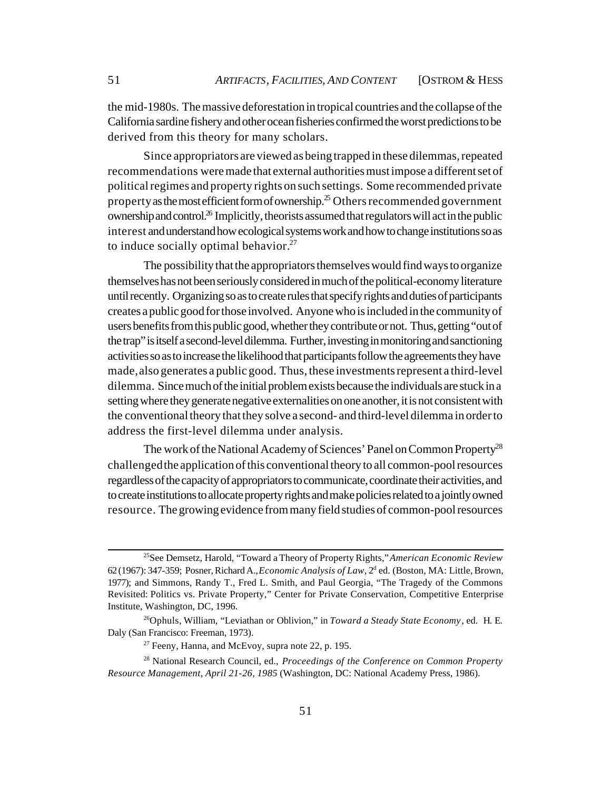the mid-1980s. The massive deforestation in tropical countries and the collapse of the California sardine fishery and other ocean fisheries confirmed the worst predictions to be derived from this theory for many scholars.

Since appropriators are viewed as being trapped in these dilemmas, repeated recommendations were made that external authorities must impose a different set of political regimes and property rights on such settings. Some recommended private property as the most efficient form of ownership.<sup>25</sup> Others recommended government ownership and control.<sup>26</sup> Implicitly, theorists assumed that regulators will act in the public interest and understand how ecological systems work and how to change institutions so as to induce socially optimal behavior. $27$ 

The possibility that the appropriators themselves would find ways to organize themselves has not been seriously considered in much of the political-economy literature until recently. Organizing so as to create rules that specify rights and duties of participants creates a public good for those involved. Anyone who is included in the community of users benefits from this public good, whether they contribute or not. Thus, getting "out of the trap" is itself a second-level dilemma. Further, investing in monitoring and sanctioning activities so as to increase the likelihood that participants follow the agreements they have made, also generates a public good. Thus, these investments represent a third-level dilemma. Since much of the initial problem exists because the individuals are stuck in a setting where they generate negative externalities on one another, it is not consistent with the conventional theory that they solve a second- and third-level dilemma in order to address the first-level dilemma under analysis.

The work of the National Academy of Sciences' Panel on Common Property<sup>28</sup> challenged the application of this conventional theory to all common-pool resources regardless of the capacity of appropriators to communicate, coordinate their activities, and to create institutions to allocate property rights and make policies related to a jointly owned resource. The growing evidence from many field studies of common-pool resources

<sup>25</sup>See Demsetz, Harold, "Toward a Theory of Property Rights," *American Economic Review* 62 (1967): 347-359; Posner, Richard A., *Economic Analysis of Law*, 2<sup>d</sup> ed. (Boston, MA: Little, Brown, 1977); and Simmons, Randy T., Fred L. Smith, and Paul Georgia, "The Tragedy of the Commons Revisited: Politics vs. Private Property," Center for Private Conservation, Competitive Enterprise Institute, Washington, DC, 1996.

<sup>26</sup>Ophuls, William, "Leviathan or Oblivion," in *Toward a Steady State Economy*, ed. H. E. Daly (San Francisco: Freeman, 1973).

 $27$  Feeny, Hanna, and McEvoy, supra note 22, p. 195.

<sup>28</sup> National Research Council, ed., *Proceedings of the Conference on Common Property Resource Management, April 21-26, 1985* (Washington, DC: National Academy Press, 1986).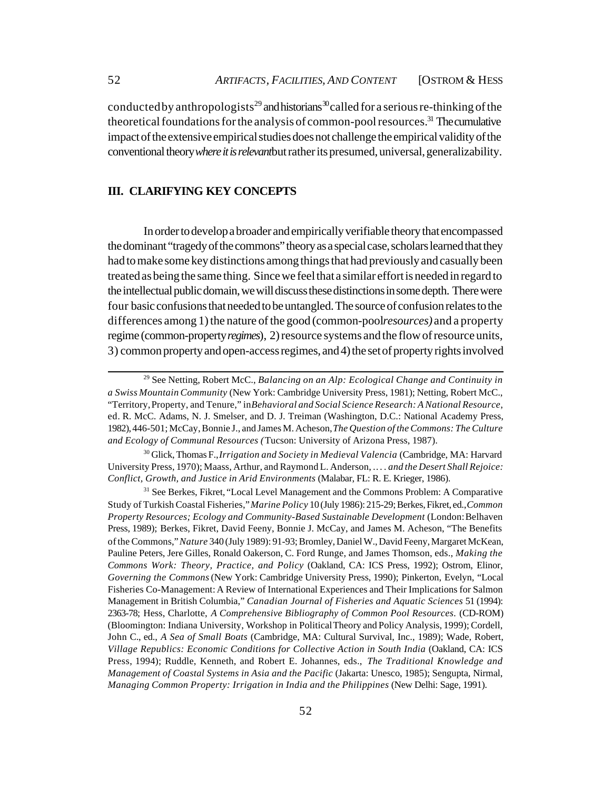conducted by anthropologists<sup>29</sup> and historians<sup>30</sup> called for a serious re-thinking of the theoretical foundations for the analysis of common-pool resources.<sup>31</sup> The cumulative impact of the extensive empirical studies does not challenge the empirical validity of the conventional theory *where it is relevant* but rather its presumed, universal, generalizability.

# **III. CLARIFYING KEY CONCEPTS**

In order to develop a broader and empirically verifiable theory that encompassed the dominant "tragedy of the commons" theory as a special case, scholars learned that they had to make some key distinctions among things that had previously and casually been treated as being the same thing. Since we feel that a similar effort is needed in regard to the intellectual public domain, we will discuss these distinctions in some depth. There were four basic confusions that needed to be untangled. The source of confusion relates to the differences among 1) the nature of the good (common-pool *resources*) and a property regime (common-property *regimes*), 2) resource systems and the flow of resource units, 3) common property and open-access regimes, and 4) the set of property rights involved

<sup>29</sup> See Netting, Robert McC., *Balancing on an Alp: Ecological Change and Continuity in a Swiss Mountain Community* (New York: Cambridge University Press, 1981); Netting, Robert McC., "Territory, Property, and Tenure," in *Behavioral and Social Science Research: A National Resource*, ed. R. McC. Adams, N. J. Smelser, and D. J. Treiman (Washington, D.C.: National Academy Press, 1982), 446-501; McCay, Bonnie J., and James M. Acheson, *The Question of the Commons: The Culture and Ecology of Communal Resources (*Tucson: University of Arizona Press, 1987).

<sup>30</sup> Glick, Thomas F., *Irrigation and Society in Medieval Valencia* (Cambridge, MA: Harvard University Press, 1970); Maass, Arthur, and Raymond L. Anderson, . *. . . and the Desert Shall Rejoice: Conflict, Growth, and Justice in Arid Environments* (Malabar, FL: R. E. Krieger, 1986).

<sup>&</sup>lt;sup>31</sup> See Berkes, Fikret, "Local Level Management and the Commons Problem: A Comparative Study of Turkish Coastal Fisheries," *Marine Policy* 10 (July 1986): 215-29; Berkes, Fikret, ed., *Common Property Resources; Ecology and Community-Based Sustainable Development* (London: Belhaven Press, 1989); Berkes, Fikret, David Feeny, Bonnie J. McCay, and James M. Acheson, "The Benefits of the Commons," *Nature* 340 (July 1989): 91-93; Bromley, Daniel W., David Feeny, Margaret McKean, Pauline Peters, Jere Gilles, Ronald Oakerson, C. Ford Runge, and James Thomson, eds., *Making the Commons Work: Theory, Practice, and Policy* (Oakland, CA: ICS Press, 1992); Ostrom, Elinor, *Governing the Commons* (New York: Cambridge University Press, 1990); Pinkerton, Evelyn, "Local Fisheries Co-Management: A Review of International Experiences and Their Implications for Salmon Management in British Columbia," *Canadian Journal of Fisheries and Aquatic Sciences* 51 (1994): 2363-78; Hess, Charlotte, *A Comprehensive Bibliography of Common Pool Resources.* (CD-ROM) (Bloomington: Indiana University, Workshop in Political Theory and Policy Analysis, 1999); Cordell, John C., ed., *A Sea of Small Boats* (Cambridge, MA: Cultural Survival, Inc., 1989); Wade, Robert, *Village Republics: Economic Conditions for Collective Action in South India* (Oakland, CA: ICS Press, 1994); Ruddle, Kenneth, and Robert E. Johannes, eds., *The Traditional Knowledge and Management of Coastal Systems in Asia and the Pacific* (Jakarta: Unesco, 1985); Sengupta, Nirmal, *Managing Common Property: Irrigation in India and the Philippines* (New Delhi: Sage, 1991).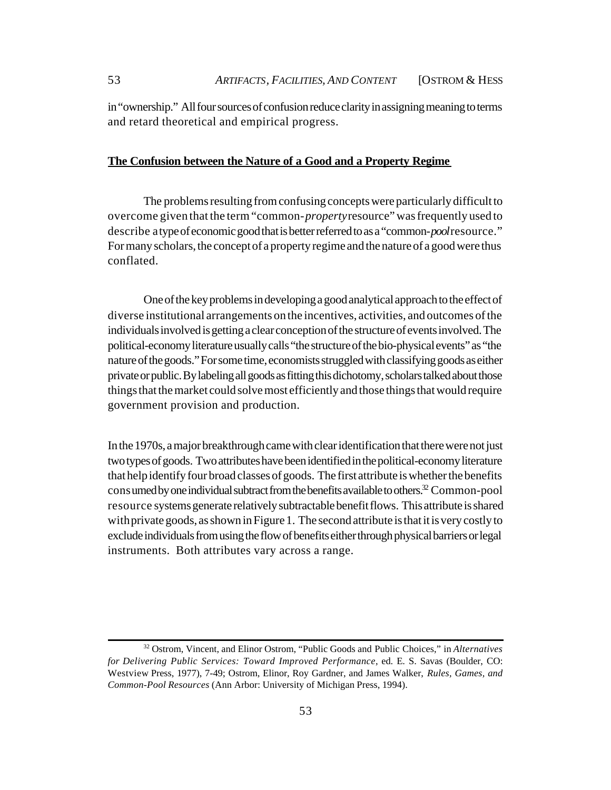in "ownership." All four sources of confusion reduce clarity in assigning meaning to terms and retard theoretical and empirical progress.

# **The Confusion between the Nature of a Good and a Property Regime**

The problems resulting from confusing concepts were particularly difficult to overcome given that the term "common-*property* resource" was frequently used to describe a type of economic good that is better referred to as a "common-*pool* resource." For many scholars, the concept of a property regime and the nature of a good were thus conflated.

One of the key problems in developing a good analytical approach to the effect of diverse institutional arrangements on the incentives, activities, and outcomes of the individuals involved is getting a clear conception of the structure of events involved. The political-economy literature usually calls "the structure of the bio-physical events" as "the nature of the goods." For some time, economists struggled with classifying goods as either private or public. By labeling all goods as fitting this dichotomy, scholars talked about those things that the market could solve most efficiently and those things that would require government provision and production.

In the 1970s, a major breakthrough came with clear identification that there were not just two types of goods. Two attributes have been identified in the political-economy literature that help identify four broad classes of goods. The first attribute is whether the benefits consumed by one individual subtract from the benefits available to others.<sup>32</sup> Common-pool resource systems generate relatively subtractable benefit flows. This attribute is shared with private goods, as shown in Figure 1. The second attribute is that it is very costly to exclude individuals from using the flow of benefits either through physical barriers or legal instruments. Both attributes vary across a range.

<sup>32</sup> Ostrom, Vincent, and Elinor Ostrom, "Public Goods and Public Choices," in *Alternatives for Delivering Public Services: Toward Improved Performance*, ed. E. S. Savas (Boulder, CO: Westview Press, 1977), 7-49; Ostrom, Elinor, Roy Gardner, and James Walker, *Rules, Games, and Common-Pool Resources* (Ann Arbor: University of Michigan Press, 1994).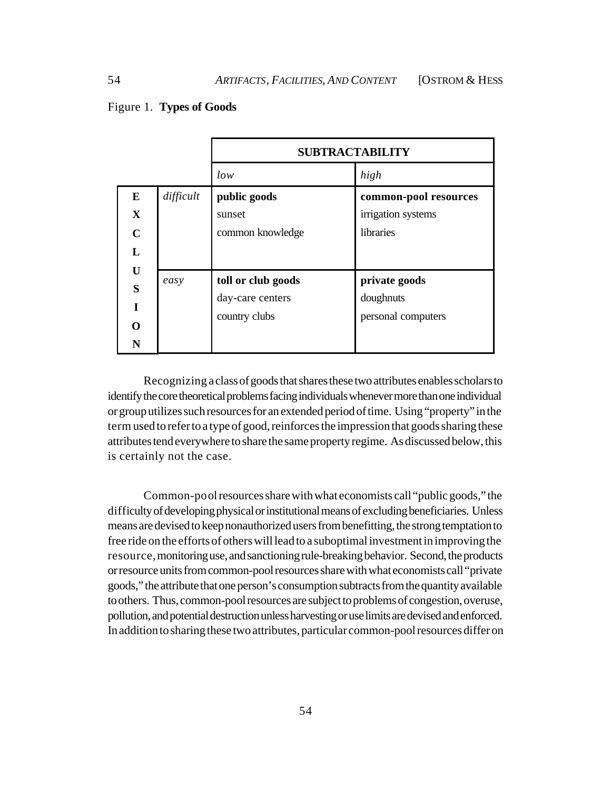# Figure 1. **Types of Goods**

|                                                                      |           | <b>SUBTRACTABILITY</b>                                  |                                                          |
|----------------------------------------------------------------------|-----------|---------------------------------------------------------|----------------------------------------------------------|
|                                                                      |           | low                                                     | high                                                     |
| $\bf{E}$<br>$\mathbf X$<br>$\mathbf C$<br>L<br>U<br>S<br>T<br>റ<br>N | difficult | public goods<br>sunset<br>common knowledge              | common-pool resources<br>irrigation systems<br>libraries |
|                                                                      | easy      | toll or club goods<br>day-care centers<br>country clubs | private goods<br>doughnuts<br>personal computers         |

Recognizing a class of goods that shares these two attributes enables scholars to identify the core theoretical problems facing individuals whenever more than one individual or group utilizes such resources for an extended period of time. Using "property" in the term used to refer to a type of good, reinforces the impression that goods sharing these attributes tend everywhere to share the same property regime. As discussed below, this is certainly not the case.

Common-pool resources share with what economists call "public goods," the difficulty of developing physical or institutional means of excluding beneficiaries. Unless means are devised to keep nonauthorized users from benefitting, the strong temptation to free ride on the efforts of others will lead to a suboptimal investment in improving the resource, monitoring use, and sanctioning rule-breaking behavior. Second, the products or resource units from common-pool resources share with what economists call "private goods," the attribute that one person's consumption subtracts from the quantity available to others. Thus, common-pool resources are subject to problems of congestion, overuse, pollution, and potential destruction unless harvesting or use limits are devised and enforced. In addition to sharing these two attributes, particular common-pool resources differ on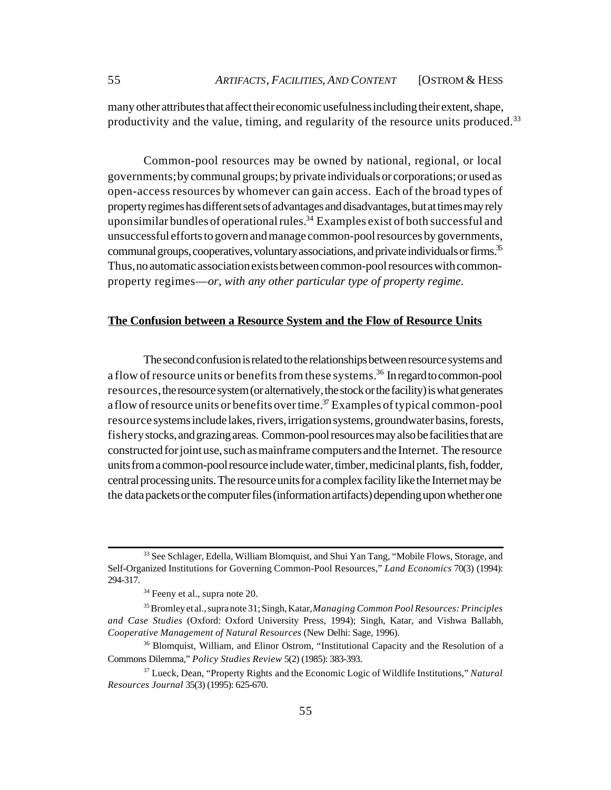many other attributes that affect their economic usefulness including their extent, shape, productivity and the value, timing, and regularity of the resource units produced.<sup>33</sup>

Common-pool resources may be owned by national, regional, or local governments; by communal groups; by private individuals or corporations; or used as open-access resources by whomever can gain access. Each of the broad types of property regimes has different sets of advantages and disadvantages, but at times may rely upon similar bundles of operational rules.<sup>34</sup> Examples exist of both successful and unsuccessful efforts to govern and manage common-pool resources by governments, communal groups, cooperatives, voluntary associations, and private individuals or firms.<sup>35</sup> Thus, no automatic association exists between common-pool resources with commonproperty regimes—*or, with any other particular type of property regime.* 

## **The Confusion between a Resource System and the Flow of Resource Units**

The second confusion is related to the relationships between resource systems and a flow of resource units or benefits from these systems.<sup>36</sup> In regard to common-pool resources, the resource system (or alternatively, the stock or the facility) is what generates a flow of resource units or benefits over time.<sup>37</sup> Examples of typical common-pool resource systems include lakes, rivers, irrigation systems, groundwater basins, forests, fishery stocks, and grazing areas. Common-pool resources may also be facilities that are constructed for joint use, such as mainframe computers and the Internet. The resource units from a common-pool resource include water, timber, medicinal plants, fish, fodder, central processing units. The resource units for a complex facility like the Internet may be the data packets or the computer files (information artifacts) depending upon whether one

<sup>&</sup>lt;sup>33</sup> See Schlager, Edella, William Blomquist, and Shui Yan Tang, "Mobile Flows, Storage, and Self-Organized Institutions for Governing Common-Pool Resources," *Land Economics* 70(3) (1994): 294-317.

<sup>&</sup>lt;sup>34</sup> Feeny et al., supra note 20.

<sup>35</sup> Bromley et al., supra note 31; Singh, Katar, *Managing Common Pool Resources: Principles and Case Studies* (Oxford: Oxford University Press, 1994); Singh, Katar, and Vishwa Ballabh, *Cooperative Management of Natural Resources* (New Delhi: Sage, 1996).

<sup>&</sup>lt;sup>36</sup> Blomquist, William, and Elinor Ostrom, "Institutional Capacity and the Resolution of a Commons Dilemma," *Policy Studies Review* 5(2) (1985): 383-393.

<sup>37</sup> Lueck, Dean, "Property Rights and the Economic Logic of Wildlife Institutions," *Natural Resources Journal* 35(3) (1995): 625-670.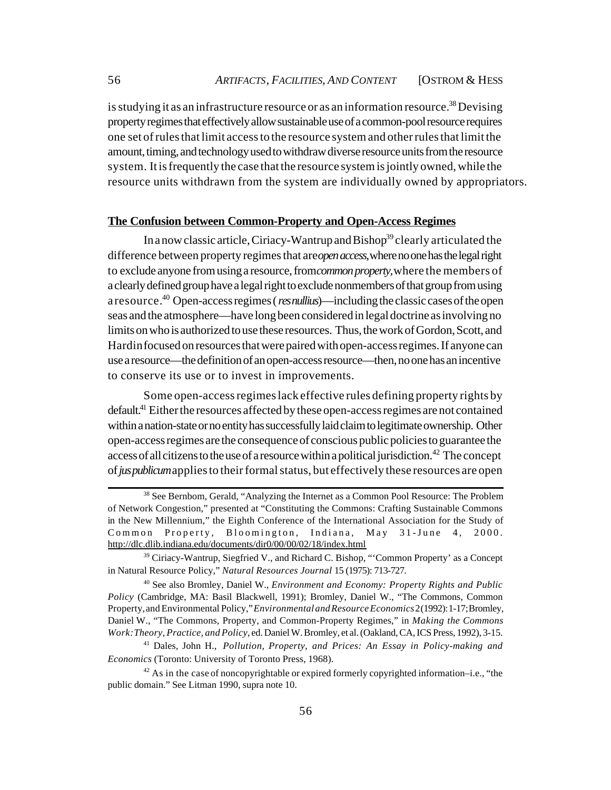is studying it as an infrastructure resource or as an information resource.<sup>38</sup> Devising property regimes that effectively allow sustainable use of a common-pool resource requires one set of rules that limit access to the resource system and other rules that limit the amount, timing, and technology used to withdraw diverse resource units from the resource system. It is frequently the case that the resource system is jointly owned, while the resource units withdrawn from the system are individually owned by appropriators.

# **The Confusion between Common-Property and Open-Access Regimes**

In a now classic article, Ciriacy-Wantrup and Bishop<sup>39</sup> clearly articulated the difference between property regimes that are *open access,* where no one has the legal right to exclude anyone from using a resource, from *common property,* where the members of a clearly defined group have a legal right to exclude nonmembers of that group from using a resource.<sup>40</sup> Open-access regimes (*res nullius*)—including the classic cases of the open seas and the atmosphere—have long been considered in legal doctrine as involving no limits on who is authorized to use these resources. Thus, the work of Gordon, Scott, and Hardin focused on resources that were paired with open-access regimes. If anyone can use a resource—the definition of an open-access resource—then, no one has an incentive to conserve its use or to invest in improvements.

Some open-access regimes lack effective rules defining property rights by default.<sup>41</sup> Either the resources affected by these open-access regimes are not contained within a nation-state or no entity has successfully laid claim to legitimate ownership. Other open-access regimes are the consequence of conscious public policies to guarantee the access of all citizens to the use of a resource within a political jurisdiction.<sup>42</sup> The concept of *jus publicum* applies to their formal status, but effectively these resources are open

<sup>&</sup>lt;sup>38</sup> See Bernbom, Gerald, "Analyzing the Internet as a Common Pool Resource: The Problem of Network Congestion," presented at "Constituting the Commons: Crafting Sustainable Commons in the New Millennium," the Eighth Conference of the International Association for the Study of Common Property, Bloomington, Indiana, May 31-June 4, 2000. <http://dlc.dlib.indiana.edu/documents/dir0/00/00/02/18/index.html>

 $39$  Ciriacy-Wantrup, Siegfried V., and Richard C. Bishop, "'Common Property' as a Concept in Natural Resource Policy," *Natural Resources Journal* 15 (1975): 713-727.

<sup>40</sup> See also Bromley, Daniel W., *Environment and Economy: Property Rights and Public Policy* (Cambridge, MA: Basil Blackwell, 1991); Bromley, Daniel W., "The Commons, Common Property, and Environmental Policy," *Environmental and Resource Economics* 2 (1992): 1-17; Bromley, Daniel W., "The Commons, Property, and Common-Property Regimes," in *Making the Commons Work: Theory, Practice, and Policy*, ed. Daniel W. Bromley, et al. (Oakland, CA, ICS Press, 1992), 3-15.

<sup>41</sup> Dales, John H., *Pollution, Property, and Prices: An Essay in Policy-making and Economics* (Toronto: University of Toronto Press, 1968).

 $42$  As in the case of noncopyrightable or expired formerly copyrighted information–i.e., "the public domain." See Litman 1990, supra note 10.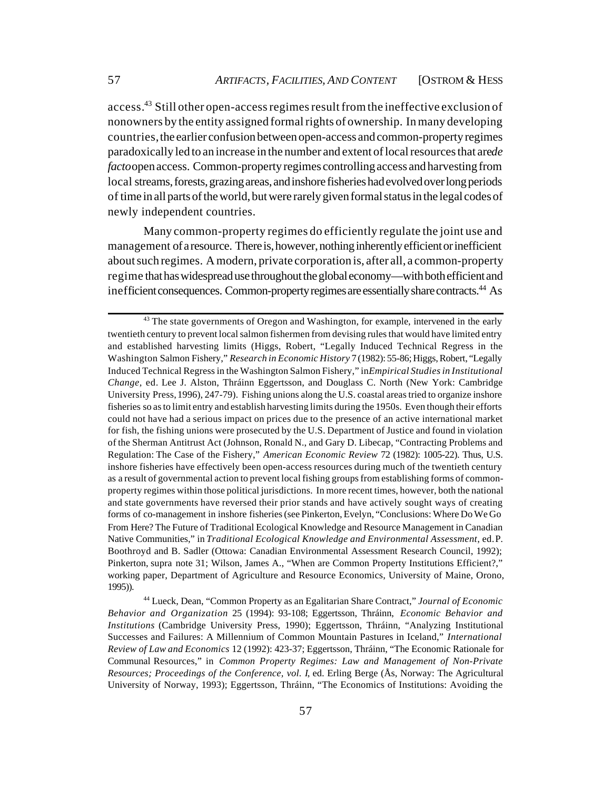access.<sup>43</sup> Still other open-access regimes result from the ineffective exclusion of nonowners by the entity assigned formal rights of ownership. In many developing countries, the earlier confusion between open-access and common-property regimes paradoxically led to an increase in the number and extent of local resources that are*de facto* open access. Common-property regimes controlling access and harvesting from local streams, forests, grazing areas, and inshore fisheries had evolved over long periods of time in all parts of the world, but were rarely given formal status in the legal codes of newly independent countries.

Many common-property regimes do efficiently regulate the joint use and management of a resource. There is, however, nothing inherently efficient or inefficient about such regimes. A modern, private corporation is, after all, a common-property regime that has widespread use throughout the global economy—with both efficient and inefficient consequences. Common-property regimes are essentially share contracts.<sup>44</sup> As

 $43$  The state governments of Oregon and Washington, for example, intervened in the early twentieth century to prevent local salmon fishermen from devising rules that would have limited entry and established harvesting limits (Higgs, Robert, "Legally Induced Technical Regress in the Washington Salmon Fishery," *Research in Economic History* 7 (1982): 55-86; Higgs, Robert, "Legally Induced Technical Regress in the Washington Salmon Fishery," in *Empirical Studies in Institutional Change,* ed. Lee J. Alston, Thráinn Eggertsson, and Douglass C. North (New York: Cambridge University Press, 1996), 247-79). Fishing unions along the U.S. coastal areas tried to organize inshore fisheries so as to limit entry and establish harvesting limits during the 1950s. Even though their efforts could not have had a serious impact on prices due to the presence of an active international market for fish, the fishing unions were prosecuted by the U.S. Department of Justice and found in violation of the Sherman Antitrust Act (Johnson, Ronald N., and Gary D. Libecap, "Contracting Problems and Regulation: The Case of the Fishery," *American Economic Review* 72 (1982): 1005-22). Thus, U.S. inshore fisheries have effectively been open-access resources during much of the twentieth century as a result of governmental action to prevent local fishing groups from establishing forms of commonproperty regimes within those political jurisdictions. In more recent times, however, both the national and state governments have reversed their prior stands and have actively sought ways of creating forms of co-management in inshore fisheries (see Pinkerton, Evelyn, "Conclusions: Where Do We Go From Here? The Future of Traditional Ecological Knowledge and Resource Management in Canadian Native Communities," in *Traditional Ecological Knowledge and Environmental Assessment*, ed. P. Boothroyd and B. Sadler (Ottowa: Canadian Environmental Assessment Research Council, 1992); Pinkerton, supra note 31; Wilson, James A., "When are Common Property Institutions Efficient?," working paper, Department of Agriculture and Resource Economics, University of Maine, Orono, 1995)).

<sup>44</sup> Lueck, Dean, "Common Property as an Egalitarian Share Contract," *Journal of Economic Behavior and Organization* 25 (1994): 93-108; Eggertsson, Thráinn, *Economic Behavior and Institutions* (Cambridge University Press, 1990); Eggertsson, Thráinn, "Analyzing Institutional Successes and Failures: A Millennium of Common Mountain Pastures in Iceland," *International Review of Law and Economics* 12 (1992): 423-37; Eggertsson, Thráinn, "The Economic Rationale for Communal Resources," in *Common Property Regimes: Law and Management of Non-Private Resources; Proceedings of the Conference, vol. I*, ed. Erling Berge (Ås, Norway: The Agricultural University of Norway, 1993); Eggertsson, Thráinn, "The Economics of Institutions: Avoiding the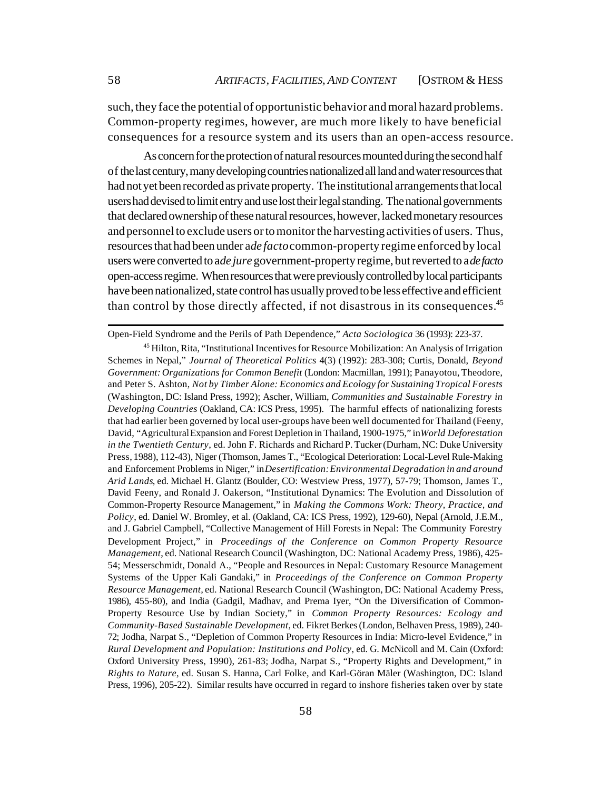such, they face the potential of opportunistic behavior and moral hazard problems. Common-property regimes, however, are much more likely to have beneficial consequences for a resource system and its users than an open-access resource.

As concern for the protection of natural resources mounted during the second half of the last century, many developing countries nationalized all land and water resources that had not yet been recorded as private property. The institutional arrangements that local users had devised to limit entry and use lost their legal standing. The national governments that declared ownership of these natural resources, however, lacked monetary resources and personnel to exclude users or to monitor the harvesting activities of users. Thus, resources that had been under a *de facto* common-property regime enforced by local users were converted to ade jure government-property regime, but reverted to a *de facto* open-access regime. When resources that were previously controlled by local participants have been nationalized, state control has usually proved to be less effective and efficient than control by those directly affected, if not disastrous in its consequences.<sup>45</sup>

Open-Field Syndrome and the Perils of Path Dependence," *Acta Sociologica* 36 (1993): 223-37.

<sup>45</sup> Hilton, Rita, "Institutional Incentives for Resource Mobilization: An Analysis of Irrigation Schemes in Nepal," *Journal of Theoretical Politics* 4(3) (1992): 283-308; Curtis, Donald, *Beyond Government: Organizations for Common Benefit* (London: Macmillan, 1991); Panayotou, Theodore, and Peter S. Ashton, *Not by Timber Alone: Economics and Ecology for Sustaining Tropical Forests* (Washington, DC: Island Press, 1992); Ascher, William, *Communities and Sustainable Forestry in Developing Countries* (Oakland, CA: ICS Press, 1995). The harmful effects of nationalizing forests that had earlier been governed by local user-groups have been well documented for Thailand (Feeny, David, "Agricultural Expansion and Forest Depletion in Thailand, 1900-1975," in *World Deforestation in the Twentieth Century*, ed. John F. Richards and Richard P. Tucker (Durham, NC: Duke University Press, 1988), 112-43), Niger (Thomson, James T., "Ecological Deterioration: Local-Level Rule-Making and Enforcement Problems in Niger," in *Desertification: Environmental Degradation in and around Arid Lands*, ed. Michael H. Glantz (Boulder, CO: Westview Press, 1977), 57-79; Thomson, James T., David Feeny, and Ronald J. Oakerson, "Institutional Dynamics: The Evolution and Dissolution of Common-Property Resource Management," in *Making the Commons Work: Theory, Practice, and Policy*, ed. Daniel W. Bromley, et al. (Oakland, CA: ICS Press, 1992), 129-60), Nepal (Arnold, J.E.M., and J. Gabriel Campbell, "Collective Management of Hill Forests in Nepal: The Community Forestry Development Project," in *Proceedings of the Conference on Common Property Resource Management*, ed. National Research Council (Washington, DC: National Academy Press, 1986), 425- 54; Messerschmidt, Donald A., "People and Resources in Nepal: Customary Resource Management Systems of the Upper Kali Gandaki," in *Proceedings of the Conference on Common Property Resource Management,* ed. National Research Council (Washington, DC: National Academy Press, 1986), 455-80), and India (Gadgil, Madhav, and Prema Iyer, "On the Diversification of Common-Property Resource Use by Indian Society," in *Common Property Resources: Ecology and Community-Based Sustainable Development,* ed. Fikret Berkes (London, Belhaven Press, 1989), 240- 72; Jodha, Narpat S., "Depletion of Common Property Resources in India: Micro-level Evidence," in *Rural Development and Population: Institutions and Policy*, ed. G. McNicoll and M. Cain (Oxford: Oxford University Press, 1990), 261-83; Jodha, Narpat S., "Property Rights and Development," in *Rights to Nature*, ed. Susan S. Hanna, Carl Folke, and Karl-Göran Mäler (Washington, DC: Island Press, 1996), 205-22). Similar results have occurred in regard to inshore fisheries taken over by state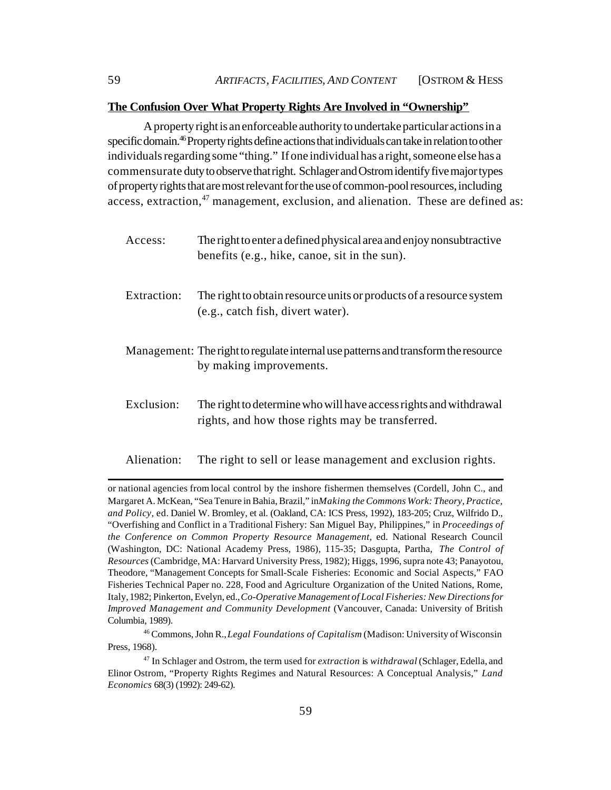#### **The Confusion Over What Property Rights Are Involved in "Ownership"**

A property right is an enforceable authority to undertake particular actions in a specific domain.<sup>46</sup> Property rights define actions that individuals can take in relation to other individuals regarding some "thing." If one individual has a right, someone else has a commensurate duty to observe that right. Schlager and Ostrom identify five major types of property rights that are most relevant for the use of common-pool resources, including access, extraction, $47$  management, exclusion, and alienation. These are defined as:

Access: The right to enter a defined physical area and enjoy nonsubtractive benefits (e.g., hike, canoe, sit in the sun). Extraction: The right to obtain resource units or products of a resource system (e.g., catch fish, divert water). Management: The right to regulate internal use patterns and transform the resource by making improvements. Exclusion: The right to determine who will have access rights and withdrawal rights, and how those rights may be transferred.

Alienation: The right to sell or lease management and exclusion rights.

or national agencies from local control by the inshore fishermen themselves (Cordell, John C., and Margaret A. McKean, "Sea Tenure in Bahia, Brazil," in *Making the Commons Work: Theory, Practice, and Policy,* ed. Daniel W. Bromley, et al. (Oakland, CA: ICS Press, 1992), 183-205; Cruz, Wilfrido D., "Overfishing and Conflict in a Traditional Fishery: San Miguel Bay, Philippines," in *Proceedings of the Conference on Common Property Resource Management*, ed. National Research Council (Washington, DC: National Academy Press, 1986), 115-35; Dasgupta, Partha, *The Control of Resources* (Cambridge, MA: Harvard University Press, 1982); Higgs, 1996, supra note 43; Panayotou, Theodore, "Management Concepts for Small-Scale Fisheries: Economic and Social Aspects," FAO Fisheries Technical Paper no. 228, Food and Agriculture Organization of the United Nations, Rome, Italy, 1982; Pinkerton, Evelyn, ed., *Co-Operative Management of Local Fisheries: New Directions for Improved Management and Community Development* (Vancouver, Canada: University of British Columbia, 1989).

<sup>46</sup> Commons, John R., *Legal Foundations of Capitalism* (Madison: University of Wisconsin Press, 1968).

<sup>47</sup> In Schlager and Ostrom, the term used for *extraction* is *withdrawal* (Schlager, Edella, and Elinor Ostrom, "Property Rights Regimes and Natural Resources: A Conceptual Analysis," *Land Economics* 68(3) (1992): 249-62).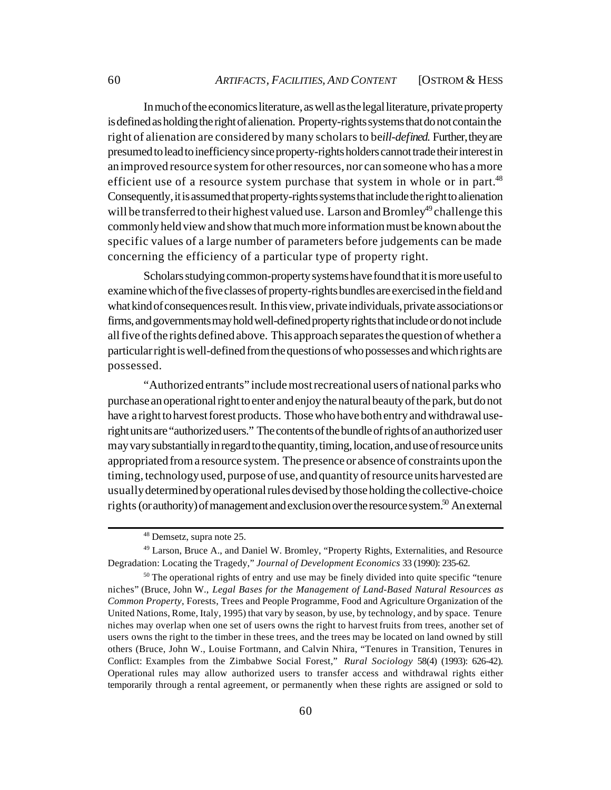In much of the economics literature, as well as the legal literature, private property is defined as holding the right of alienation. Property-rights systems that do not contain the right of alienation are considered by many scholars to be *ill-defined*. Further, they are presumed to lead to inefficiency since property-rights holders cannot trade their interest in an improved resource system for other resources, nor can someone who has a more efficient use of a resource system purchase that system in whole or in part.<sup>48</sup> Consequently, it is assumed that property-rights systems that include the right to alienation will be transferred to their highest valued use. Larson and Bromley<sup>49</sup> challenge this commonly held view and show that much more information must be known about the specific values of a large number of parameters before judgements can be made concerning the efficiency of a particular type of property right.

Scholars studying common-property systems have found that it is more useful to examine which of the five classes of property-rights bundles are exercised in the field and what kind of consequences result. In this view, private individuals, private associations or firms, and governments may hold well-defined property rights that include or do not include all five of the rights defined above. This approach separates the question of whether a particular right is well-defined from the questions of who possesses and which rights are possessed.

"Authorized entrants" include most recreational users of national parks who purchase an operational right to enter and enjoy the natural beauty of the park, but do not have a right to harvest forest products. Those who have both entry and withdrawal useright units are "authorized users." The contents of the bundle of rights of an authorized user may vary substantially in regard to the quantity, timing, location, and use of resource units appropriated from a resource system. The presence or absence of constraints upon the timing, technology used, purpose of use, and quantity of resource units harvested are usually determined by operational rules devised by those holding the collective-choice rights (or authority) of management and exclusion over the resource system.<sup>50</sup> An external

<sup>48</sup> Demsetz, supra note 25.

<sup>49</sup> Larson, Bruce A., and Daniel W. Bromley, "Property Rights, Externalities, and Resource Degradation: Locating the Tragedy," *Journal of Development Economics* 33 (1990): 235-62.

 $50$  The operational rights of entry and use may be finely divided into quite specific "tenure" niches" (Bruce, John W., *Legal Bases for the Management of Land-Based Natural Resources as Common Property*, Forests, Trees and People Programme, Food and Agriculture Organization of the United Nations, Rome, Italy, 1995) that vary by season, by use, by technology, and by space. Tenure niches may overlap when one set of users owns the right to harvest fruits from trees, another set of users owns the right to the timber in these trees, and the trees may be located on land owned by still others (Bruce, John W., Louise Fortmann, and Calvin Nhira, "Tenures in Transition, Tenures in Conflict: Examples from the Zimbabwe Social Forest," *Rural Sociology* 58(4) (1993): 626-42). Operational rules may allow authorized users to transfer access and withdrawal rights either temporarily through a rental agreement, or permanently when these rights are assigned or sold to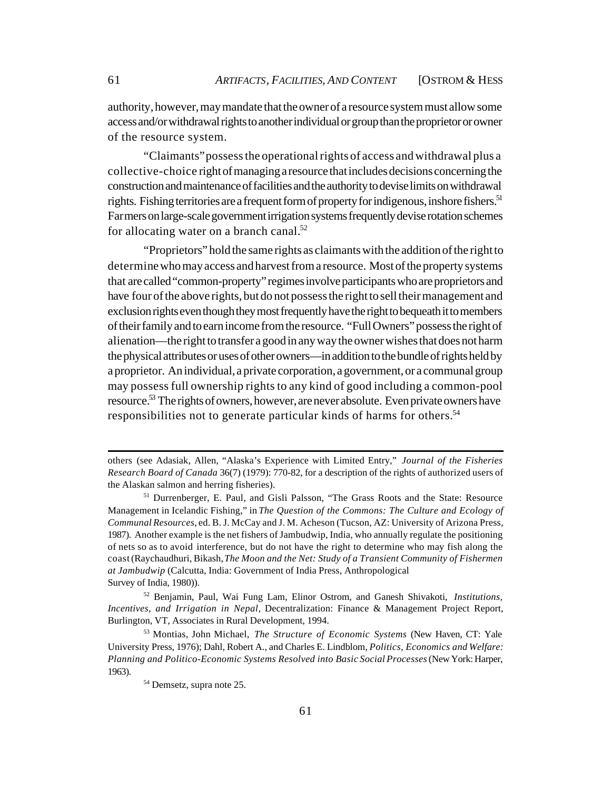authority, however, may mandate that the owner of a resource system must allow some access and/or withdrawal rights to another individual or group than the proprietor or owner of the resource system.

"Claimants" possess the operational rights of access and withdrawal plus a collective-choice right of managing a resource that includes decisions concerning the construction and maintenance of facilities and the authority to devise limits on withdrawal rights. Fishing territories are a frequent form of property for indigenous, inshore fishers.<sup>51</sup> Farmers on large-scale government irrigation systems frequently devise rotation schemes for allocating water on a branch canal. $52$ 

"Proprietors" hold the same rights as claimants with the addition of the right to determine who may access and harvest from a resource. Most of the property systems that are called "common-property" regimes involve participants who are proprietors and have four of the above rights, but do not possess the right to sell their management and exclusion rights even though they most frequently have the right to bequeath it to members of their family and to earn income from the resource. "Full Owners" possess the right of alienation—the right to transfer a good in any way the owner wishes that does not harm the physical attributes or uses of other owners—in addition to the bundle of rights held by a proprietor. An individual, a private corporation, a government, or a communal group may possess full ownership rights to any kind of good including a common-pool resource.<sup>53</sup> The rights of owners, however, are never absolute. Even private owners have responsibilities not to generate particular kinds of harms for others.<sup>54</sup>

others (see Adasiak, Allen, "Alaska's Experience with Limited Entry," *Journal of the Fisheries Research Board of Canada* 36(7) (1979): 770-82, for a description of the rights of authorized users of the Alaskan salmon and herring fisheries).

<sup>51</sup> Durrenberger, E. Paul, and Gisli Palsson, "The Grass Roots and the State: Resource Management in Icelandic Fishing," in *The Question of the Commons: The Culture and Ecology of Communal Resources*, ed. B. J. McCay and J. M. Acheson (Tucson, AZ: University of Arizona Press, 1987). Another example is the net fishers of Jambudwip, India, who annually regulate the positioning of nets so as to avoid interference, but do not have the right to determine who may fish along the coast (Raychaudhuri, Bikash, *The Moon and the Net: Study of a Transient Community of Fishermen at Jambudwip* (Calcutta, India: Government of India Press, Anthropological Survey of India, 1980)).

<sup>52</sup> Benjamin, Paul, Wai Fung Lam, Elinor Ostrom, and Ganesh Shivakoti, *Institutions, Incentives, and Irrigation in Nepal,* Decentralization: Finance & Management Project Report, Burlington, VT, Associates in Rural Development, 1994.

<sup>53</sup> Montias, John Michael, *The Structure of Economic Systems* (New Haven, CT: Yale University Press, 1976); Dahl, Robert A., and Charles E. Lindblom, *Politics, Economics and Welfare: Planning and Politico-Economic Systems Resolved into Basic Social Processes* (New York: Harper, 1963).

<sup>54</sup> Demsetz, supra note 25.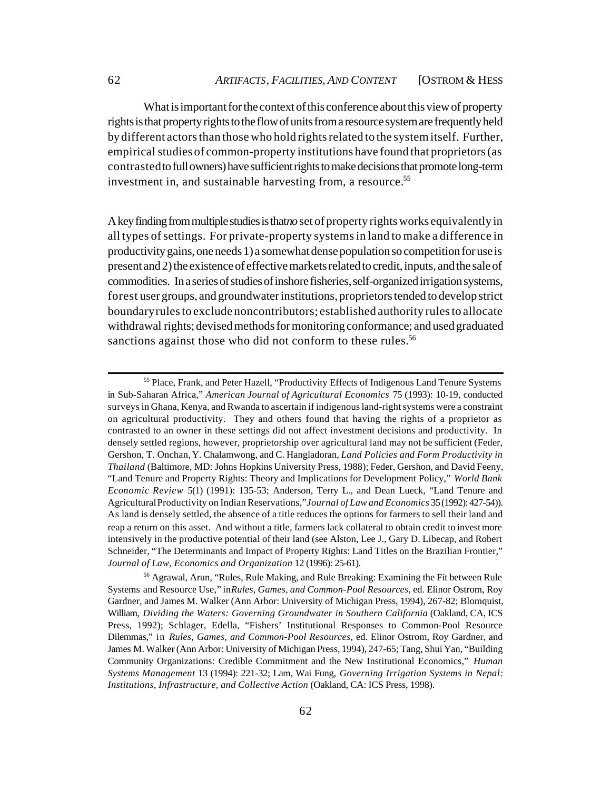What is important for the context of this conference about this view of property rights is that property rights to the flow of units from a resource system are frequently held by different actors than those who hold rights related to the system itself. Further, empirical studies of common-property institutions have found that proprietors (as contrasted to full owners) have sufficient rights to make decisions that promote long-term investment in, and sustainable harvesting from, a resource.<sup>55</sup>

A key finding from multiple studies is that*no* set of property rights works equivalently in all types of settings. For private-property systems in land to make a difference in productivity gains, one needs 1) a somewhat dense population so competition for use is present and 2) the existence of effective markets related to credit, inputs, and the sale of commodities. In a series of studies of inshore fisheries, self-organized irrigation systems, forest user groups, and groundwater institutions, proprietors tended to develop strict boundary rules to exclude noncontributors; established authority rules to allocate withdrawal rights; devised methods for monitoring conformance; and used graduated sanctions against those who did not conform to these rules.<sup>56</sup>

<sup>55</sup> Place, Frank, and Peter Hazell, "Productivity Effects of Indigenous Land Tenure Systems in Sub-Saharan Africa," *American Journal of Agricultural Economics* 75 (1993): 10-19, conducted surveys in Ghana, Kenya, and Rwanda to ascertain if indigenous land-right systems were a constraint on agricultural productivity. They and others found that having the rights of a proprietor as contrasted to an owner in these settings did not affect investment decisions and productivity. In densely settled regions, however, proprietorship over agricultural land may not be sufficient (Feder, Gershon, T. Onchan, Y. Chalamwong, and C. Hangladoran, *Land Policies and Form Productivity in Thailand* (Baltimore, MD: Johns Hopkins University Press, 1988); Feder, Gershon, and David Feeny, "Land Tenure and Property Rights: Theory and Implications for Development Policy," *World Bank Economic Review* 5(1) (1991): 135-53; Anderson, Terry L., and Dean Lueck, "Land Tenure and Agricultural Productivity on Indian Reservations," *Journal of Law and Economics* 35 (1992): 427-54)). As land is densely settled, the absence of a title reduces the options for farmers to sell their land and reap a return on this asset. And without a title, farmers lack collateral to obtain credit to invest more intensively in the productive potential of their land (see Alston, Lee J., Gary D. Libecap, and Robert Schneider, "The Determinants and Impact of Property Rights: Land Titles on the Brazilian Frontier," *Journal of Law, Economics and Organization* 12 (1996): 25-61).

<sup>&</sup>lt;sup>56</sup> Agrawal, Arun, "Rules, Rule Making, and Rule Breaking: Examining the Fit between Rule Systems and Resource Use," in *Rules, Games, and Common-Pool Resources*, ed. Elinor Ostrom, Roy Gardner, and James M. Walker (Ann Arbor: University of Michigan Press, 1994), 267-82; Blomquist, William, *Dividing the Waters: Governing Groundwater in Southern California* (Oakland, CA, ICS Press, 1992); Schlager, Edella, "Fishers' Institutional Responses to Common-Pool Resource Dilemmas," in *Rules, Games, and Common-Pool Resources,* ed. Elinor Ostrom, Roy Gardner, and James M. Walker (Ann Arbor: University of Michigan Press, 1994), 247-65; Tang, Shui Yan, "Building Community Organizations: Credible Commitment and the New Institutional Economics," *Human Systems Management* 13 (1994): 221-32; Lam, Wai Fung, *Governing Irrigation Systems in Nepal: Institutions, Infrastructure, and Collective Action* (Oakland, CA: ICS Press, 1998).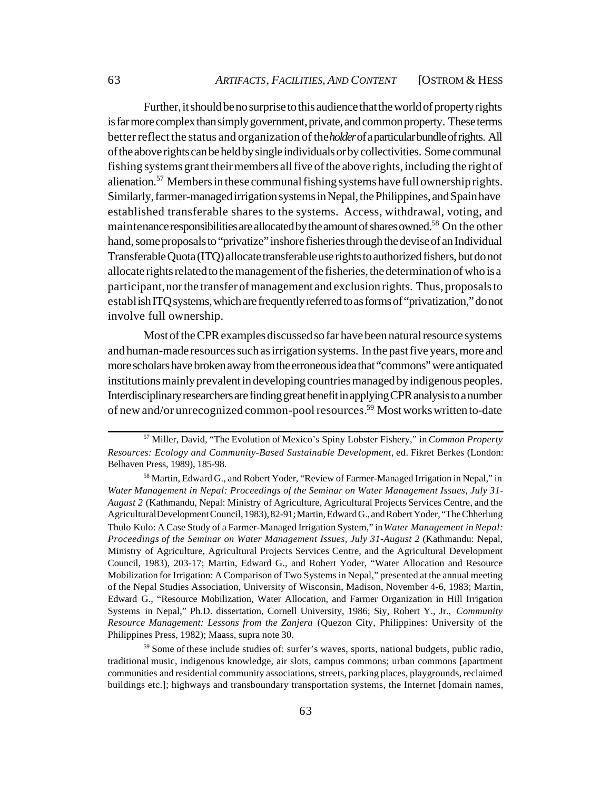Further, it should be no surprise to this audience that the world of property rights is far more complex than simply government, private, and common property. These terms better reflect the status and organization of the *holder* of a particular bundle of rights. All of the above rights can be held by single individuals or by collectivities. Some communal fishing systems grant their members all five of the above rights, including the right of alienation.<sup>57</sup> Members in these communal fishing systems have full ownership rights. Similarly, farmer-managed irrigation systems in Nepal, the Philippines, and Spain have established transferable shares to the systems. Access, withdrawal, voting, and maintenance responsibilities are allocated by the amount of shares owned.<sup>58</sup> On the other hand, some proposals to "privatize" inshore fisheries through the devise of an Individual Transferable Quota (ITQ) allocate transferable use rights to authorized fishers, but do not allocate rights related to the management of the fisheries, the determination of who is a participant, nor the transfer of management and exclusion rights. Thus, proposals to establish ITQ systems, which are frequently referred to as forms of "privatization," do not involve full ownership.

Most of the CPR examples discussed so far have been natural resource systems and human-made resources such as irrigation systems. In the past five years, more and more scholars have broken away from the erroneous idea that "commons" were antiquated institutions mainly prevalent in developing countries managed by indigenous peoples. Interdisciplinary researchers are finding great benefit in applying CPR analysis to a number of new and/or unrecognized common-pool resources.59 Most works written to-date

<sup>57</sup> Miller, David, "The Evolution of Mexico's Spiny Lobster Fishery," in *Common Property Resources: Ecology and Community-Based Sustainable Development*, ed. Fikret Berkes (London: Belhaven Press, 1989), 185-98.

<sup>&</sup>lt;sup>58</sup> Martin, Edward G., and Robert Yoder, "Review of Farmer-Managed Irrigation in Nepal," in *Water Management in Nepal: Proceedings of the Seminar on Water Management Issues, July 31- August 2* (Kathmandu, Nepal: Ministry of Agriculture, Agricultural Projects Services Centre, and the Agricultural Development Council, 1983), 82-91; Martin, Edward G., and Robert Yoder, "The Chherlung Thulo Kulo: A Case Study of a Farmer-Managed Irrigation System," in *Water Management in Nepal: Proceedings of the Seminar on Water Management Issues, July 31-August 2* (Kathmandu: Nepal, Ministry of Agriculture, Agricultural Projects Services Centre, and the Agricultural Development Council, 1983), 203-17; Martin, Edward G., and Robert Yoder, "Water Allocation and Resource Mobilization for Irrigation: A Comparison of Two Systems in Nepal," presented at the annual meeting of the Nepal Studies Association, University of Wisconsin, Madison, November 4-6, 1983; Martin, Edward G., "Resource Mobilization, Water Allocation, and Farmer Organization in Hill Irrigation Systems in Nepal," Ph.D. dissertation, Cornell University, 1986; Siy, Robert Y., Jr., *Community Resource Management: Lessons from the Zanjera* (Quezon City, Philippines: University of the Philippines Press, 1982); Maass, supra note 30.

<sup>&</sup>lt;sup>59</sup> Some of these include studies of: surfer's waves, sports, national budgets, public radio, traditional music, indigenous knowledge, air slots, campus commons; urban commons [apartment communities and residential community associations, streets, parking places, playgrounds, reclaimed buildings etc.]; highways and transboundary transportation systems, the Internet [domain names,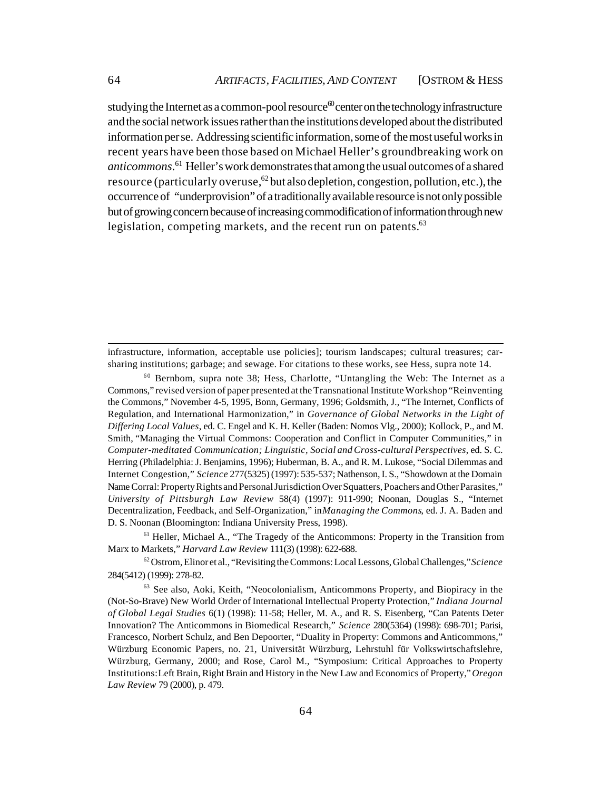studying the Internet as a common-pool resource  $\omega$  center on the technology infrastructure and the social network issues rather than the institutions developed about the distributed information per se. Addressing scientific information, some of the most useful works in recent years have been those based on Michael Heller's groundbreaking work on *anticommons*. <sup>61</sup> Heller's work demonstrates that among the usual outcomes of a shared resource (particularly overuse,  $62$  but also depletion, congestion, pollution, etc.), the occurrence of "underprovision" of a traditionally available resource is not only possible but of growing concern because of increasing commodification of information through new legislation, competing markets, and the recent run on patents.<sup>63</sup>

infrastructure, information, acceptable use policies]; tourism landscapes; cultural treasures; carsharing institutions; garbage; and sewage. For citations to these works, see Hess, supra note 14.

 $60$  Bernbom, supra note 38; Hess, Charlotte, "Untangling the Web: The Internet as a Commons," revised version of paper presented at the Transnational Institute Workshop "Reinventing the Commons," November 4-5, 1995, Bonn, Germany, 1996; Goldsmith, J., "The Internet, Conflicts of Regulation, and International Harmonization," in *Governance of Global Networks in the Light of Differing Local Values*, ed. C. Engel and K. H. Keller (Baden: Nomos Vlg., 2000); Kollock, P., and M. Smith, "Managing the Virtual Commons: Cooperation and Conflict in Computer Communities," in *Computer-meditated Communication; Linguistic, Social and Cross-cultural Perspectives*, ed. S. C. Herring (Philadelphia: J. Benjamins, 1996); Huberman, B. A., and R. M. Lukose, "Social Dilemmas and Internet Congestion," *Science* 277(5325) (1997): 535-537; Nathenson, I. S., "Showdown at the Domain Name Corral: Property Rights and Personal Jurisdiction Over Squatters, Poachers and Other Parasites," *University of Pittsburgh Law Review* 58(4) (1997): 911-990; Noonan, Douglas S., "Internet Decentralization, Feedback, and Self-Organization," in *Managing the Commons*, ed. J. A. Baden and D. S. Noonan (Bloomington: Indiana University Press, 1998).

<sup>&</sup>lt;sup>61</sup> Heller, Michael A., "The Tragedy of the Anticommons: Property in the Transition from Marx to Markets," *Harvard Law Review* 111(3) (1998): 622-688.

<sup>62</sup> Ostrom, Elinor et al., "Revisiting the Commons: Local Lessons, Global Challenges," *Science* 284(5412) (1999): 278-82.

<sup>&</sup>lt;sup>63</sup> See also, Aoki, Keith, "Neocolonialism, Anticommons Property, and Biopiracy in the (Not-So-Brave) New World Order of International Intellectual Property Protection," *Indiana Journal of Global Legal Studies* 6(1) (1998): 11-58; Heller, M. A., and R. S. Eisenberg, "Can Patents Deter Innovation? The Anticommons in Biomedical Research," *Science* 280(5364) (1998): 698-701; Parisi, Francesco, Norbert Schulz, and Ben Depoorter, "Duality in Property: Commons and Anticommons," Würzburg Economic Papers, no. 21, Universität Würzburg, Lehrstuhl für Volkswirtschaftslehre, Würzburg, Germany, 2000; and Rose, Carol M., "Symposium: Critical Approaches to Property Institutions: Left Brain, Right Brain and History in the New Law and Economics of Property," *Oregon Law Review* 79 (2000), p. 479.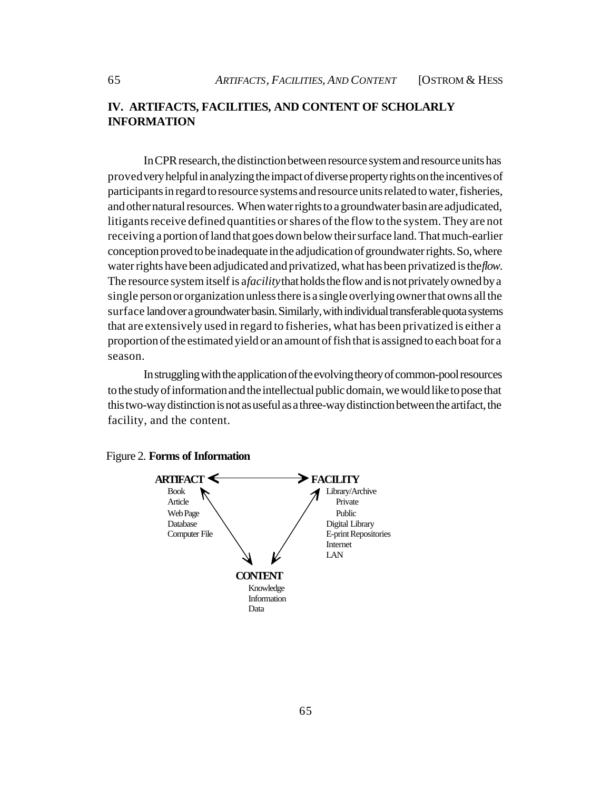# **IV. ARTIFACTS, FACILITIES, AND CONTENT OF SCHOLARLY INFORMATION**

In CPR research, the distinction between resource system and resource units has proved very helpful in analyzing the impact of diverse property rights on the incentives of participants in regard to resource systems and resource units related to water, fisheries, and other natural resources. When water rights to a groundwater basin are adjudicated, litigants receive defined quantities or shares of the flow to the system. They are not receiving a portion of land that goes down below their surface land. That much-earlier conception proved to be inadequate in the adjudication of groundwater rights. So, where water rights have been adjudicated and privatized, what has been privatized is the *flow*. The resource system itself is a *facility* that holds the flow and is not privately owned by a single person or organization unless there is a single overlying owner that owns all the surface land over a groundwater basin. Similarly, with individual transferable quota systems that are extensively used in regard to fisheries, what has been privatized is either a proportion of the estimated yield or an amount of fish that is assigned to each boat for a season.

In struggling with the application of the evolving theory of common-pool resources to the study of information and the intellectual public domain, we would like to pose that this two-way distinction is not as useful as a three-way distinction between the artifact, the facility, and the content.



#### Figure 2. **Forms of Information**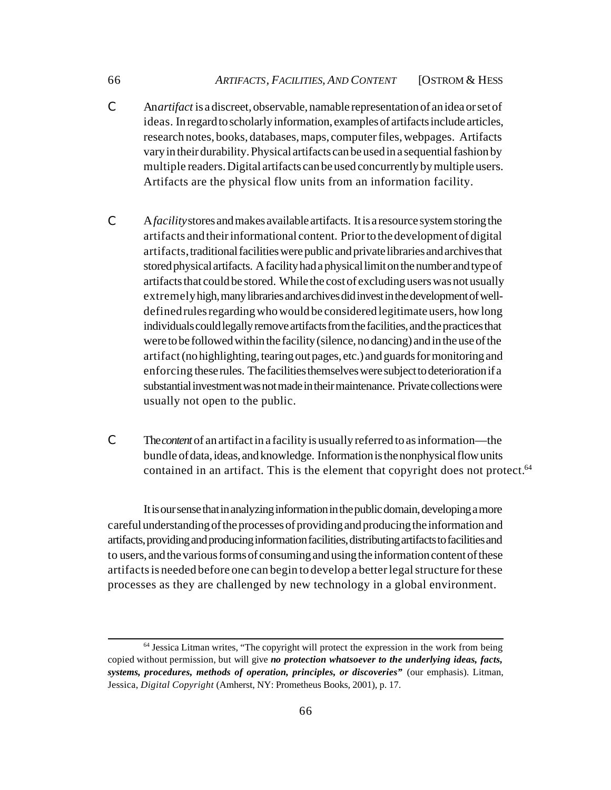- C An *artifact* is a discreet, observable, namable representation of an idea or set of ideas. In regard to scholarly information, examples of artifacts include articles, research notes, books, databases, maps, computer files, webpages. Artifacts vary in their durability. Physical artifacts can be used in a sequential fashion by multiple readers. Digital artifacts can be used concurrently by multiple users. Artifacts are the physical flow units from an information facility.
- C A*facility* stores and makes available artifacts. It is a resource system storing the artifacts and their informational content. Prior to the development of digital artifacts, traditional facilities were public and private libraries and archives that stored physical artifacts. A facility had a physical limit on the number and type of artifacts that could be stored. While the cost of excluding users was not usually extremely high, many libraries and archives did invest in the development of welldefined rules regarding who would be considered legitimate users, how long individuals could legally remove artifacts from the facilities, and the practices that were to be followed within the facility (silence, no dancing) and in the use of the artifact (no highlighting, tearing out pages, etc.) and guards for monitoring and enforcing these rules. The facilities themselves were subject to deterioration if a substantial investment was not made in their maintenance. Private collections were usually not open to the public.
- C The *content* of an artifact in a facility is usually referred to as information—the bundle of data, ideas, and knowledge. Information is the nonphysical flow units contained in an artifact. This is the element that copyright does not protect.<sup>64</sup>

It is our sense that in analyzing information in the public domain, developing a more careful understanding of the processes of providing and producing the information and artifacts, providing and producing information facilities, distributing artifacts to facilities and to users, and the various forms of consuming and using the information content of these artifacts is needed before one can begin to develop a better legal structure for these processes as they are challenged by new technology in a global environment.

<sup>&</sup>lt;sup>64</sup> Jessica Litman writes, "The copyright will protect the expression in the work from being copied without permission, but will give *no protection whatsoever to the underlying ideas, facts, systems, procedures, methods of operation, principles, or discoveries"* (our emphasis). Litman, Jessica, *Digital Copyright* (Amherst, NY: Prometheus Books, 2001), p. 17.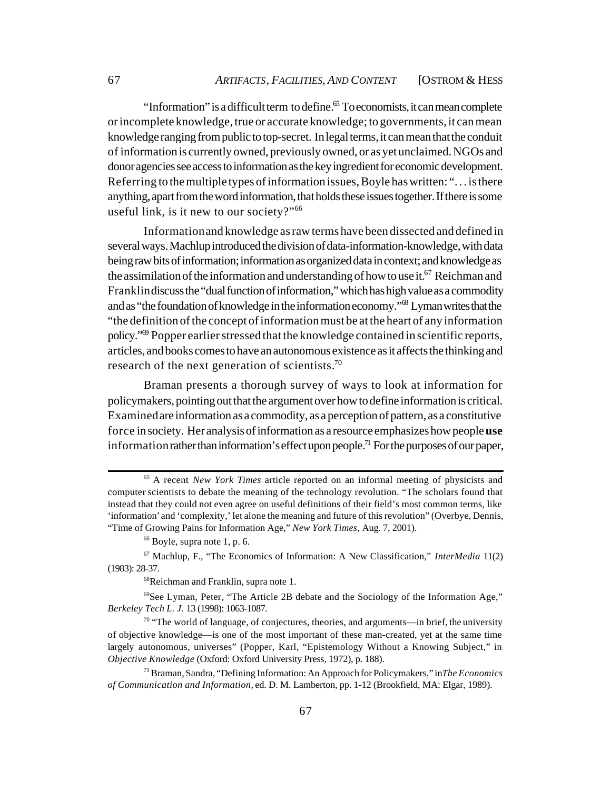"Information" is a difficult term to define.<sup>65</sup> To economists, it can mean complete or incomplete knowledge, true or accurate knowledge; to governments, it can mean knowledge ranging from public to top-secret. In legal terms, it can mean that the conduit of information is currently owned, previously owned, or as yet unclaimed. NGOs and donor agencies see access to information as the key ingredient for economic development. Referring to the multiple types of information issues, Boyle has written: ". . . is there anything, apart from the word information, that holds these issues together. If there is some useful link, is it new to our society?"<sup>66</sup>

Information and knowledge as raw terms have been dissected and defined in several ways. Machlup introduced the division of data-information-knowledge, with data being raw bits of information; information as organized data in context; and knowledge as the assimilation of the information and understanding of how to use it.<sup>67</sup> Reichman and Franklin discuss the "dual function of information," which has high value as a commodity and as "the foundation of knowledge in the information economy."<sup>68</sup> Lyman writes that the "the definition of the concept of information must be at the heart of any information policy."<sup>69</sup> Popper earlier stressed that the knowledge contained in scientific reports, articles, and books comes to have an autonomous existence as it affects the thinking and research of the next generation of scientists.<sup>70</sup>

Braman presents a thorough survey of ways to look at information for policymakers, pointing out that the argument over how to define information is critical. Examined are information as a commodity, as a perception of pattern, as a constitutive force in society. Her analysis of information as a resource emphasizes how people **use** information rather than information's effect upon people.<sup>71</sup> For the purposes of our paper,

<sup>65</sup> A recent *New York Times* article reported on an informal meeting of physicists and computer scientists to debate the meaning of the technology revolution. "The scholars found that instead that they could not even agree on useful definitions of their field's most common terms, like 'information' and 'complexity,' let alone the meaning and future of this revolution" (Overbye, Dennis, "Time of Growing Pains for Information Age," *New York Times,* Aug. 7, 2001).

 $66$  Boyle, supra note 1, p. 6.

<sup>67</sup> Machlup, F., "The Economics of Information: A New Classification," *InterMedia* 11(2) (1983): 28-37.

<sup>68</sup>Reichman and Franklin, supra note 1.

<sup>69</sup>See Lyman, Peter, "The Article 2B debate and the Sociology of the Information Age," *Berkeley Tech L. J.* 13 (1998): 1063-1087.

<sup>70 &</sup>quot;The world of language, of conjectures, theories, and arguments—in brief, the university of objective knowledge—is one of the most important of these man-created, yet at the same time largely autonomous, universes" (Popper, Karl, "Epistemology Without a Knowing Subject," in *Objective Knowledge* (Oxford: Oxford University Press, 1972), p. 188).

<sup>71</sup> Braman, Sandra, "Defining Information: An Approach for Policymakers," in *The Economics of Communication and Information,* ed. D. M. Lamberton, pp. 1-12 (Brookfield, MA: Elgar, 1989).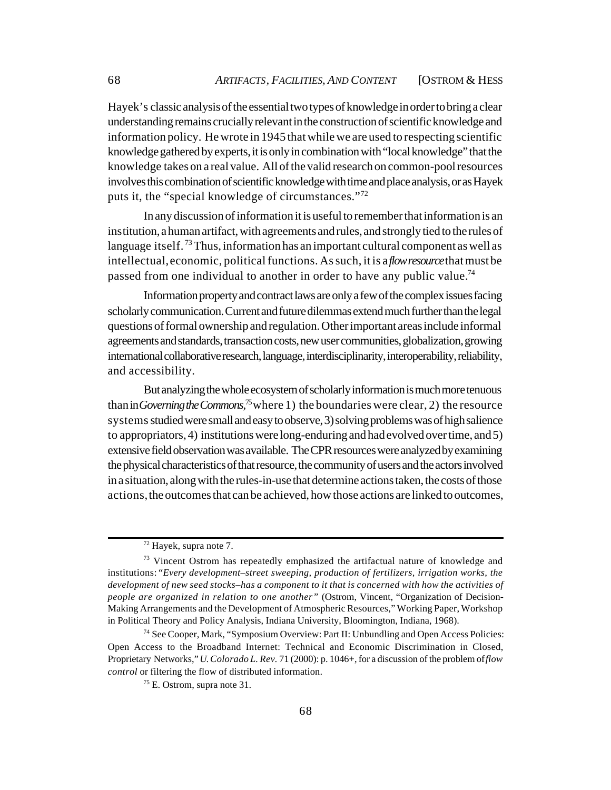Hayek's classic analysis of the essential two types of knowledge in order to bring a clear understanding remains crucially relevant in the construction of scientific knowledge and information policy. He wrote in 1945 that while we are used to respecting scientific knowledge gathered by experts, it is only in combination with "local knowledge" that the knowledge takes on a real value. All of the valid research on common-pool resources involves this combination of scientific knowledge with time and place analysis, or as Hayek puts it, the "special knowledge of circumstances."<sup>72</sup>

In any discussion of information it is useful to remember that information is an institution, a human artifact, with agreements and rules, and strongly tied to the rules of language itself.<sup>73</sup> Thus, information has an important cultural component as well as intellectual, economic, political functions. As such, it is a *flow resource* that must be passed from one individual to another in order to have any public value.<sup>74</sup>

Information property and contract laws are only a few of the complex issues facing scholarly communication. Current and future dilemmas extend much further than the legal questions of formal ownership and regulation. Other important areas include informal agreements and standards, transaction costs, new user communities, globalization, growing international collaborative research, language, interdisciplinarity, interoperability, reliability, and accessibility.

But analyzing the whole ecosystem of scholarly information is much more tenuous than in *Governing the Commons*,<sup>75</sup> where 1) the boundaries were clear, 2) the resource systems studied were small and easy to observe, 3) solving problems was of high salience to appropriators, 4) institutions were long-enduring and had evolved over time, and 5) extensive field observation was available. The CPR resources were analyzed by examining the physical characteristics of that resource, the community of users and the actors involved in a situation, along with the rules-in-use that determine actions taken, the costs of those actions, the outcomes that can be achieved, how those actions are linked to outcomes,

<sup>72</sup> Hayek, supra note 7.

<sup>&</sup>lt;sup>73</sup> Vincent Ostrom has repeatedly emphasized the artifactual nature of knowledge and institutions: "*Every development–street sweeping, production of fertilizers, irrigation works, the development of new seed stocks–has a component to it that is concerned with how the activities of people are organized in relation to one another"* (Ostrom, Vincent, "Organization of Decision-Making Arrangements and the Development of Atmospheric Resources," Working Paper, Workshop in Political Theory and Policy Analysis, Indiana University, Bloomington, Indiana, 1968).

<sup>74</sup> See Cooper, Mark, "Symposium Overview: Part II: Unbundling and Open Access Policies: Open Access to the Broadband Internet: Technical and Economic Discrimination in Closed, Proprietary Networks," *U. Colorado L. Rev.* 71 (2000): p. 1046+, for a discussion of the problem of *flow control* or filtering the flow of distributed information.

<sup>75</sup> E. Ostrom, supra note 31.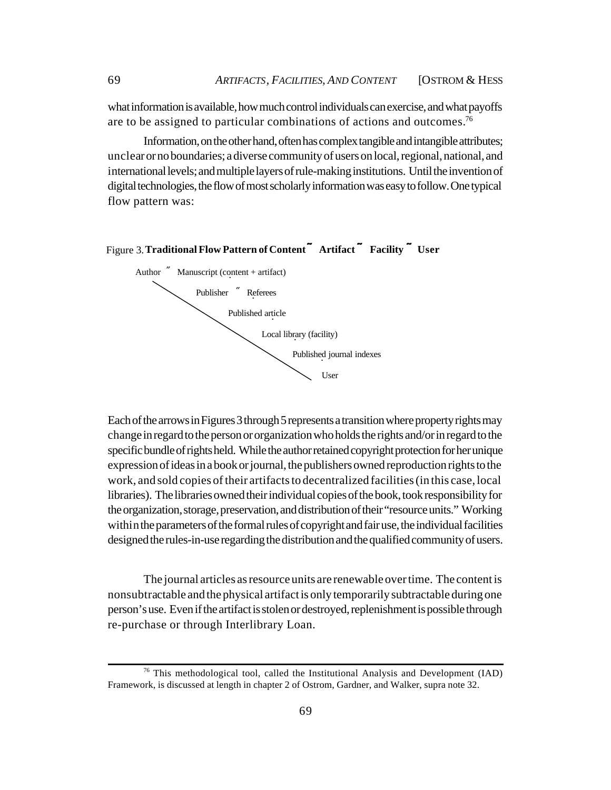what information is available, how much control individuals can exercise, and what payoffs are to be assigned to particular combinations of actions and outcomes.<sup>76</sup>

Information, on the other hand, often has complex tangible and intangible attributes; unclear or no boundaries; a diverse community of users on local, regional, national, and international levels; and multiple layers of rule-making institutions. Until the invention of digital technologies, the flow of most scholarly information was easy to follow. One typical flow pattern was:



#### Figure 3. **Traditional Flow Pattern of Content ÷ Artifact ÷ Facility ÷ User**

Each of the arrows in Figures 3 through 5 represents a transition where property rights may change in regard to the person or organization who holds the rights and/or in regard to the specific bundle of rights held. While the author retained copyright protection for her unique expression of ideas in a book or journal, the publishers owned reproduction rights to the work, and sold copies of their artifacts to decentralized facilities (in this case, local libraries). The libraries owned their individual copies of the book, took responsibility for the organization, storage, preservation, and distribution of their "resource units." Working within the parameters of the formal rules of copyright and fair use, the individual facilities designed the rules-in-use regarding the distribution and the qualified community of users.

The journal articles as resource units are renewable over time. The content is nonsubtractable and the physical artifact is only temporarily subtractable during one person's use. Even if the artifact is stolen or destroyed, replenishment is possible through re-purchase or through Interlibrary Loan.

<sup>76</sup> This methodological tool, called the Institutional Analysis and Development (IAD) Framework, is discussed at length in chapter 2 of Ostrom, Gardner, and Walker, supra note 32.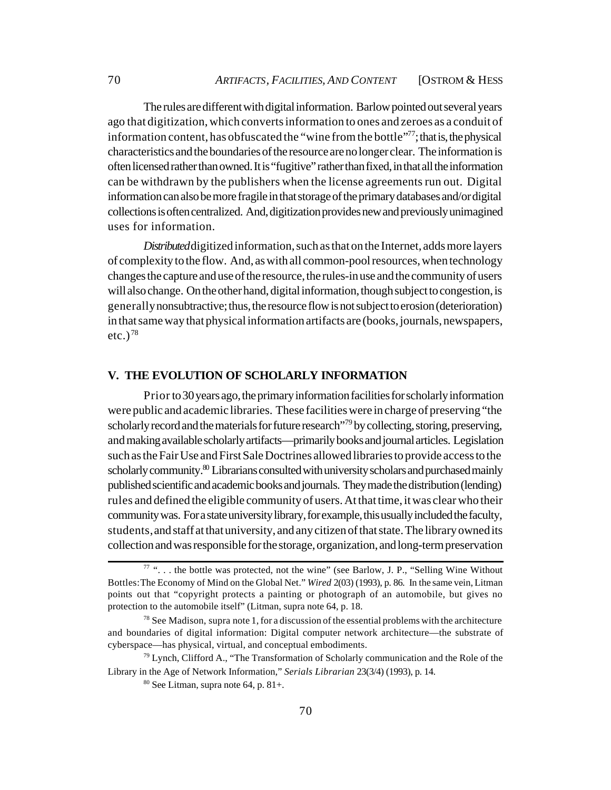The rules are different with digital information. Barlow pointed out several years ago that digitization, which converts information to ones and zeroes as a conduit of information content, has obfuscated the "wine from the bottle"<sup>77</sup>; that is, the physical characteristics and the boundaries of the resource are no longer clear. The information is often licensed rather than owned. It is "fugitive" rather than fixed, in that all the information can be withdrawn by the publishers when the license agreements run out. Digital information can also be more fragile in that storage of the primary databases and/or digital collections is often centralized. And, digitization provides new and previously unimagined uses for information.

*Distributed* digitized information, such as that on the Internet, adds more layers of complexity to the flow. And, as with all common-pool resources, when technology changes the capture and use of the resource, the rules-in use and the community of users will also change. On the other hand, digital information, though subject to congestion, is generally nonsubtractive; thus, the resource flow is not subject to erosion (deterioration) in that same way that physical information artifacts are (books, journals, newspapers, etc.) $^{78}$ 

# **V. THE EVOLUTION OF SCHOLARLY INFORMATION**

Prior to 30 years ago, the primary information facilities for scholarly information were public and academic libraries. These facilities were in charge of preserving "the scholarly record and the materials for future research<sup>"79</sup> by collecting, storing, preserving, and making available scholarly artifacts—primarily books and journal articles. Legislation such as the Fair Use and First Sale Doctrines allowed libraries to provide access to the scholarly community.<sup>80</sup> Librarians consulted with university scholars and purchased mainly published scientific and academic books and journals. They made the distribution (lending) rules and defined the eligible community of users. At that time, it was clear who their community was. For a state university library, for example, this usually included the faculty, students, and staff at that university, and any citizen of that state. The library owned its collection and was responsible for the storage, organization, and long-term preservation

 $77$  "... the bottle was protected, not the wine" (see Barlow, J. P., "Selling Wine Without Bottles: The Economy of Mind on the Global Net." *Wired* 2(03) (1993), p. 86. In the same vein, Litman points out that "copyright protects a painting or photograph of an automobile, but gives no protection to the automobile itself" (Litman, supra note 64, p. 18.

 $78$  See Madison, supra note 1, for a discussion of the essential problems with the architecture and boundaries of digital information: Digital computer network architecture—the substrate of cyberspace—has physical, virtual, and conceptual embodiments.

 $79$  Lynch, Clifford A., "The Transformation of Scholarly communication and the Role of the Library in the Age of Network Information," *Serials Librarian* 23(3/4) (1993), p. 14.

 $80$  See Litman, supra note 64, p. 81+.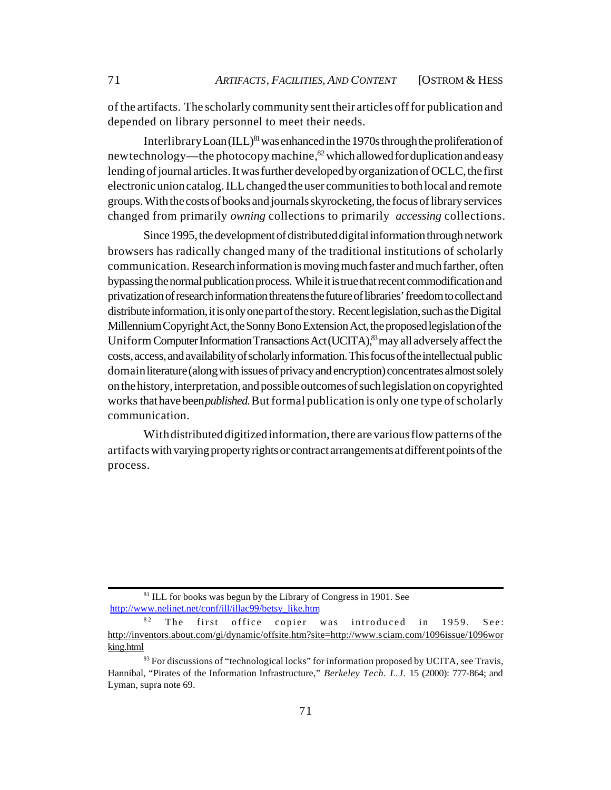of the artifacts. The scholarly community sent their articles off for publication and depended on library personnel to meet their needs.

Interlibrary Loan  $(ILL)^{81}$  was enhanced in the 1970s through the proliferation of new technology—the photocopy machine, $82$  which allowed for duplication and easy lending of journal articles. It was further developed by organization of OCLC, the first electronic union catalog. ILL changed the user communities to both local and remote groups. With the costs of books and journals skyrocketing, the focus of library services changed from primarily *owning* collections to primarily *accessing* collections.

Since 1995, the development of distributed digital information through network browsers has radically changed many of the traditional institutions of scholarly communication. Research information is moving much faster and much farther, often bypassing the normal publication process. While it is true that recent commodification and privatization of research information threatens the future of libraries' freedom to collect and distribute information, it is only one part of the story. Recent legislation, such as the Digital Millennium Copyright Act, the Sonny Bono Extension Act, the proposed legislation of the Uniform Computer Information Transactions Act (UCITA), $\frac{8}{3}$  may all adversely affect the costs, access, and availability of scholarly information. This focus of the intellectual public domain literature (along with issues of privacy and encryption) concentrates almost solely on the history, interpretation, and possible outcomes of such legislation on copyrighted works that have been *published.* But formal publication is only one type of scholarly communication.

With distributed digitized information, there are various flow patterns of the artifacts with varying property rights or contract arrangements at different points of the process.

<sup>&</sup>lt;sup>81</sup> ILL for books was begun by the Library of Congress in 1901. See [http://www.nelinet.net/conf/ill/illac99/betsy\\_like.htm](http://www.nelinet.net/conf/ill/illac99/betsy_like.htm)

 $82$  The first office copier was introduced in 1959. See: <http://inventors.about.com/gi/dynamic/offsite.htm?site=><http://www.sciam.com/1096issue/1096wor> king.html

 $83$  For discussions of "technological locks" for information proposed by UCITA, see Travis, Hannibal, "Pirates of the Information Infrastructure," *Berkeley Tech. L.J.* 15 (2000): 777-864; and Lyman, supra note 69.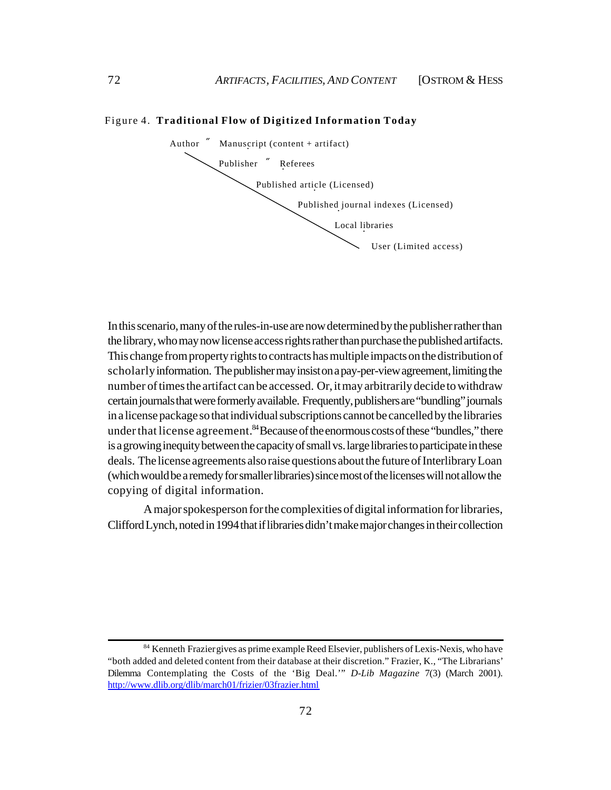#### Figure 4. **Traditional Flow of Digitized Information Today**



In this scenario, many of the rules-in-use are now determined by the publisher rather than the library, who may now license access rights rather than purchase the published artifacts. This change from property rights to contracts has multiple impacts on the distribution of scholarly information. The publisher may insist on a pay-per-view agreement, limiting the number of times the artifact can be accessed. Or, it may arbitrarily decide to withdraw certain journals that were formerly available. Frequently, publishers are "bundling" journals in a license package so that individual subscriptions cannot be cancelled by the libraries under that license agreement.  $84$  Because of the enormous costs of these "bundles," there is a growing inequity between the capacity of small vs. large libraries to participate in these deals. The license agreements also raise questions about the future of Interlibrary Loan (which would be a remedy for smaller libraries) since most of the licenses will not allow the copying of digital information.

A major spokesperson for the complexities of digital information for libraries, Clifford Lynch, noted in 1994 that if libraries didn't make major changes in their collection

<sup>84</sup> Kenneth Frazier gives as prime example Reed Elsevier, publishers of Lexis-Nexis, who have "both added and deleted content from their database at their discretion." Frazier, K., "The Librarians' Dilemma Contemplating the Costs of the 'Big Deal.'" *D-Lib Magazine* 7(3) (March 2001). <http://www.dlib.org/dlib/march01/frizier/03frazier.html>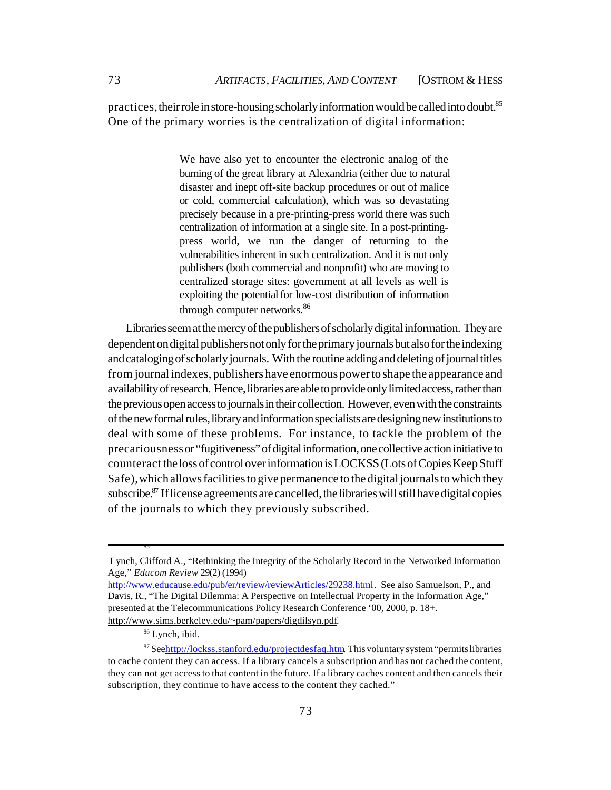practices, their role in store-housing scholarly information would be called into doubt.<sup>85</sup> One of the primary worries is the centralization of digital information:

> We have also yet to encounter the electronic analog of the burning of the great library at Alexandria (either due to natural disaster and inept off-site backup procedures or out of malice or cold, commercial calculation), which was so devastating precisely because in a pre-printing-press world there was such centralization of information at a single site. In a post-printingpress world, we run the danger of returning to the vulnerabilities inherent in such centralization. And it is not only publishers (both commercial and nonprofit) who are moving to centralized storage sites: government at all levels as well is exploiting the potential for low-cost distribution of information through computer networks.<sup>86</sup>

Libraries seem at the mercy of the publishers of scholarly digital information. They are dependent on digital publishers not only for the primary journals but also for the indexing and cataloging of scholarly journals. With the routine adding and deleting of journal titles from journal indexes, publishers have enormous power to shape the appearance and availability of research. Hence, libraries are able to provide only limited access, rather than the previous open access to journals in their collection. However, even with the constraints of the new formal rules, library and information specialists are designing new institutions to deal with some of these problems. For instance, to tackle the problem of the precariousness or "fugitiveness" of digital information, one collective action initiative to counteract the loss of control over information is LOCKSS (Lots of Copies Keep Stuff Safe), which allows facilities to give permanence to the digital journals to which they subscribe.<sup>87</sup> If license agreements are cancelled, the libraries will still have digital copies of the journals to which they previously subscribed.

85

Lynch, Clifford A., "Rethinking the Integrity of the Scholarly Record in the Networked Information Age," *Educom Review* 29(2) (1994)

[http://www.educause.edu/pub/er/review/reviewArticles/29238.html.](http://www.educause.edu/pub/er/review/reviewArticles/29238.html) See also Samuelson, P., and Davis, R., "The Digital Dilemma: A Perspective on Intellectual Property in the Information Age," presented at the Telecommunications Policy Research Conference '00, 2000, p. 18+. [http://www.sims.berkeley.edu/~pam/papers/digdilsyn.pdf.](http://www.sims.berkeley.edu/~pam/papers/digdilsyn.pdf)

<sup>86</sup> Lynch, ibid.

<sup>87</sup> Seehttp://lockss.stanford.edu/projectdesfaq.htm. This voluntary system "permits libraries to cache content they can access. If a library cancels a subscription and has not cached the content, they can not get access to that content in the future. If a library caches content and then cancels their subscription, they continue to have access to the content they cached."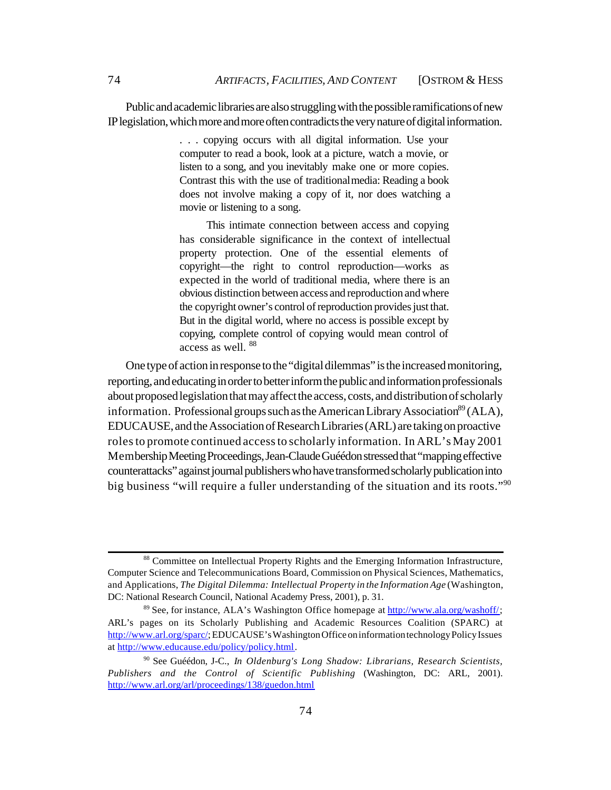Public and academic libraries are also struggling with the possible ramifications of new IP legislation, which more and more often contradicts the very nature of digital information.

> . . . copying occurs with all digital information. Use your computer to read a book, look at a picture, watch a movie, or listen to a song, and you inevitably make one or more copies. Contrast this with the use of traditional media: Reading a book does not involve making a copy of it, nor does watching a movie or listening to a song.

> This intimate connection between access and copying has considerable significance in the context of intellectual property protection. One of the essential elements of copyright—the right to control reproduction—works as expected in the world of traditional media, where there is an obvious distinction between access and reproduction and where the copyright owner's control of reproduction provides just that. But in the digital world, where no access is possible except by copying, complete control of copying would mean control of access as well. <sup>88</sup>

One type of action in response to the "digital dilemmas" is the increased monitoring, reporting, and educating in order to better inform the public and information professionals about proposed legislation that may affect the access, costs, and distribution of scholarly information. Professional groups such as the American Library Association<sup>89</sup> (ALA), EDUCAUSE, and the Association of Research Libraries (ARL) are taking on proactive roles to promote continued access to scholarly information. In ARL's May 2001 Membership Meeting Proceedings, Jean-Claude Guéédon stressed that "mapping effective counterattacks" against journal publishers who have transformed scholarly publication into big business "will require a fuller understanding of the situation and its roots."<sup>90</sup>

<sup>88</sup> Committee on Intellectual Property Rights and the Emerging Information Infrastructure, Computer Science and Telecommunications Board, Commission on Physical Sciences, Mathematics, and Applications, *The Digital Dilemma: Intellectual Property in the Information Age* (Washington, DC: National Research Council, National Academy Press, 2001), p. 31.

<sup>89</sup> See, for instance, ALA's Washington Office homepage at [http://www.ala.org/washoff/;](http://www.ala.org/washoff/) ARL's pages on its Scholarly Publishing and Academic Resources Coalition (SPARC) at [http://www.arl.org/sparc/;](http://www.arl.org/sparc/) EDUCAUSE's Washington Office on information technology Policy Issues at [http://www.educause.edu/policy/policy.html.](http://www.educause.edu/policy/policy.html)

<sup>90</sup> See Guéédon, J-C., *In Oldenburg's Long Shadow: Librarians, Research Scientists, Publishers and the Control of Scientific Publishing* (Washington, DC: ARL, 2001). <http://www.arl.org/arl/proceedings/138/guedon.html>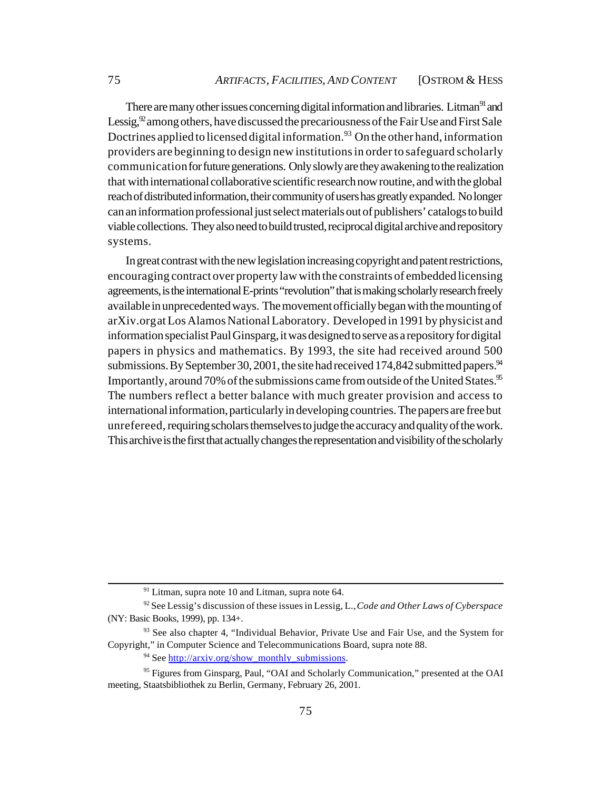There are many other issues concerning digital information and libraries. Litman<sup>91</sup> and Lessig,  $92^{\circ}$  among others, have discussed the precariousness of the Fair Use and First Sale Doctrines applied to licensed digital information.<sup>93</sup> On the other hand, information providers are beginning to design new institutions in order to safeguard scholarly communication for future generations. Only slowly are they awakening to the realization that with international collaborative scientific research now routine, and with the global reach of distributed information, their community of users has greatly expanded. No longer can an information professional just select materials out of publishers' catalogs to build viable collections. They also need to build trusted, reciprocal digital archive and repository systems.

In great contrast with the new legislation increasing copyright and patent restrictions, encouraging contract over property law with the constraints of embedded licensing agreements, is the international E-prints "revolution" that is making scholarly research freely available in unprecedented ways. The movement officially began with the mounting of arXiv.org at Los Alamos National Laboratory. Developed in 1991 by physicist and information specialist Paul Ginsparg, it was designed to serve as a repository for digital papers in physics and mathematics. By 1993, the site had received around 500 submissions. By September 30, 2001, the site had received 174,842 submitted papers. $94$ Importantly, around 70% of the submissions came from outside of the United States.<sup>95</sup> The numbers reflect a better balance with much greater provision and access to international information, particularly in developing countries. The papers are free but unrefereed, requiring scholars themselves to judge the accuracy and quality of the work. This archive is the first that actually changes the representation and visibility of the scholarly

<sup>&</sup>lt;sup>91</sup> Litman, supra note 10 and Litman, supra note 64.

<sup>92</sup> See Lessig's discussion of these issues in Lessig, L., *Code and Other Laws of Cyberspace* (NY: Basic Books, 1999), pp. 134+.

<sup>&</sup>lt;sup>93</sup> See also chapter 4, "Individual Behavior, Private Use and Fair Use, and the System for Copyright," in Computer Science and Telecommunications Board, supra note 88.

 $94$  See [http://arxiv.org/show\\_monthly\\_submissions.](http://arxiv.org/show_monthly_submissions)

<sup>&</sup>lt;sup>95</sup> Figures from Ginsparg, Paul, "OAI and Scholarly Communication," presented at the OAI meeting, Staatsbibliothek zu Berlin, Germany, February 26, 2001.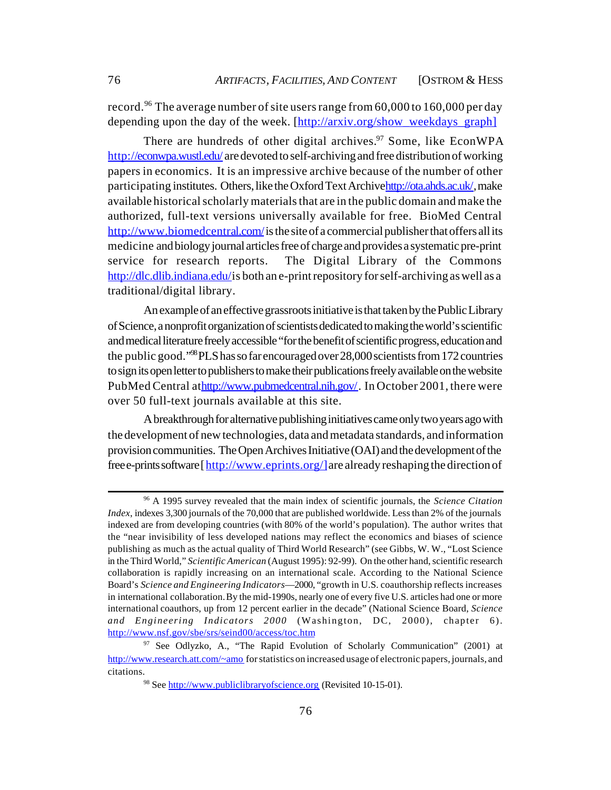record.<sup>96</sup> The average number of site users range from 60,000 to 160,000 per day depending upon the day of the week. [http://arxiv.org/show\_weekdays\_graph]

There are hundreds of other digital archives.<sup>97</sup> Some, like EconWPA <http://econwpa.wustl.edu/> are devoted to self-archiving and free distribution of working papers in economics. It is an impressive archive because of the number of other participating institutes. Others, like the Oxford Text Archiv[e http://ota.ahds.ac.uk/,](http://ota.ahds.ac.uk/) make available historical scholarly materials that are in the public domain and make the authorized, full-text versions universally available for free. BioMed Central <http://www.biomedcentral.com/>is the site of a commercial publisher that offers all its medicine and biology journal articles free of charge and provides a systematic pre-print service for research reports. The Digital Library of the Commons <http://dlc.dlib.indiana.edu/is> both an e-print repository for self-archiving as well as a traditional/digital library.

An example of an effective grassroots initiative is that taken by the Public Library of Science, a nonprofit organization of scientists dedicated to making the world's scientific and medical literature freely accessible "for the benefit of scientific progress, education and the public good."<sup>98</sup> PLS has so far encouraged over 28,000 scientists from 172 countries to sign its open letter to publishers to make their publications freely available on the website PubMed Central athttp://www.pubmedcentral.nih.gov/. In October 2001, there were over 50 full-text journals available at this site.

A breakthrough for alternative publishing initiatives came only two years ago with the development of new technologies, data and metadata standards, and information provision communities. The Open Archives Initiative (OAI) and the development of the free e-prints software [[http://www.eprints.org/\]](http://www.eprints.org/]) are already reshaping the direction of

<sup>96</sup> A 1995 survey revealed that the main index of scientific journals, the *Science Citation Index*, indexes 3,300 journals of the 70,000 that are published worldwide. Less than 2% of the journals indexed are from developing countries (with 80% of the world's population). The author writes that the "near invisibility of less developed nations may reflect the economics and biases of science publishing as much as the actual quality of Third World Research" (see Gibbs, W. W., "Lost Science in the Third World," *Scientific American* (August 1995): 92-99). On the other hand, scientific research collaboration is rapidly increasing on an international scale. According to the National Science Board's *Science and Engineering Indicators*—2000, "growth in U.S. coauthorship reflects increases in international collaboration. By the mid-1990s, nearly one of every five U.S. articles had one or more international coauthors, up from 12 percent earlier in the decade" (National Science Board, *Science and Engineering Indicators 2000* (Washington, DC, 2000), chapter 6). <http://www.nsf.gov/sbe/srs/seind00/access/toc.htm>

<sup>&</sup>lt;sup>97</sup> See Odlyzko, A., "The Rapid Evolution of Scholarly Communication" (2001) at <http://www.research.att.com/~amo> for statistics on increased usage of electronic papers, journals, and citations.

<sup>98</sup> See <http://www.publiclibraryofscience.org> (Revisited 10-15-01).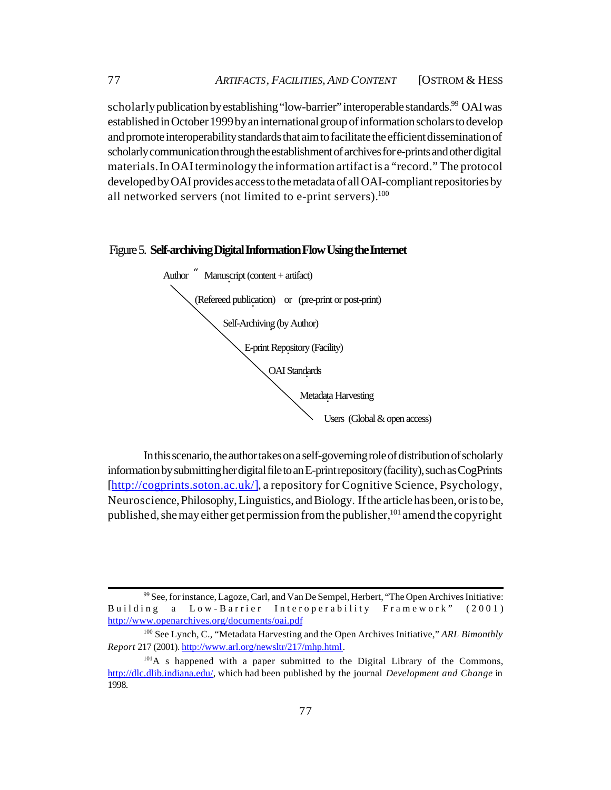scholarly publication by establishing "low-barrier" interoperable standards.<sup>99</sup> OAI was established in October 1999 by an international group of information scholars to develop and promote interoperability standards that aim to facilitate the efficient dissemination of scholarly communication through the establishment of archives for e-prints and other digital materials. In OAI terminology the information artifact is a "record." The protocol developed by OAI provides access to the metadata of all OAI-compliant repositories by all networked servers (not limited to e-print servers). $100$ 

#### Figure 5. **Self-archiving Digital Information Flow Using the Internet**



In this scenario, the author takes on a self-governing role of distribution of scholarly information by submitting her digital file to an E-print repository (facility), such as CogPrints [http://cogprints.soton.ac.uk/], a repository for Cognitive Science, Psychology, Neuroscience, Philosophy, Linguistics, and Biology. If the article has been, or is to be, published, she may either get permission from the publisher,<sup>101</sup> amend the copyright

<sup>99</sup> See, for instance, Lagoze, Carl, and Van De Sempel, Herbert, "The Open Archives Initiative: Building a Low-Barrier Interoperability Framework" (2001) <http://www.openarchives.org/documents/oai.pdf>

<sup>100</sup> See Lynch, C., "Metadata Harvesting and the Open Archives Initiative," *ARL Bimonthly Report* 217 (2001). [http://www.arl.org/newsltr/217/mhp.html.](http://www.arl.org/newsltr/217/mhp.html)

 $101A$  s happened with a paper submitted to the Digital Library of the Commons, [http://dlc.dlib.indiana.edu/,](http://dlc.dlib.indiana.edu/) which had been published by the journal *Development and Change* in 1998.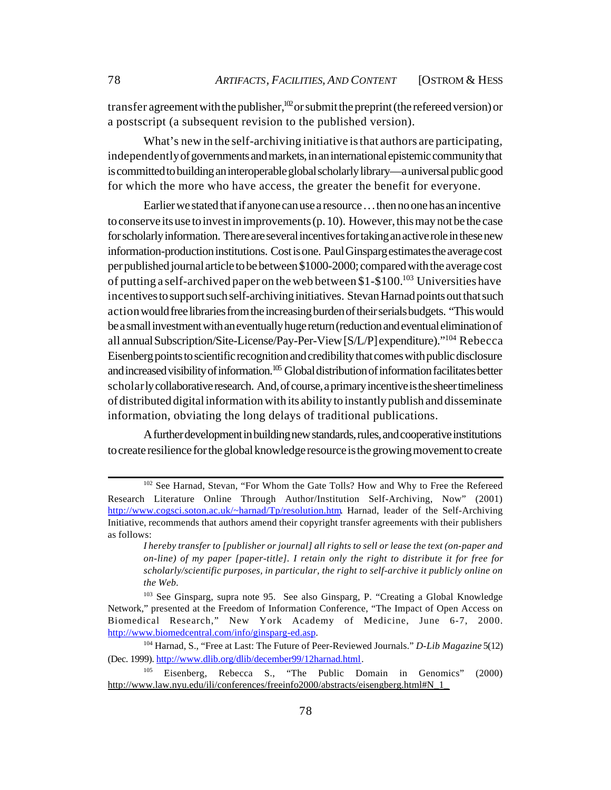transfer agreement with the publisher, $102$  or submit the preprint (the refereed version) or a postscript (a subsequent revision to the published version).

What's new in the self-archiving initiative is that authors are participating, independently of governments and markets, in an international epistemic community that is committed to building an interoperable global scholarly library—a universal public good for which the more who have access, the greater the benefit for everyone.

Earlier we stated that if anyone can use a resource . . . then no one has an incentive to conserve its use to invest in improvements (p. 10). However, this may not be the case for scholarly information. There are several incentives for taking an active role in these new information-production institutions. Cost is one. Paul Ginsparg estimates the average cost per published journal article to be between \$1000-2000; compared with the average cost of putting a self-archived paper on the web between  $$1-\$100$ <sup>103</sup> Universities have incentives to support such self-archiving initiatives. Stevan Harnad points out that such action would free libraries from the increasing burden of their serials budgets. "This would be a small investment with an eventually huge return (reduction and eventual elimination of all annual Subscription/Site-License/Pay-Per-View [S/L/P] expenditure)."<sup>104</sup> Rebecca Eisenberg points to scientific recognition and credibility that comes with public disclosure and increased visibility of information.<sup>105</sup> Global distribution of information facilitates better scholarly collaborative research. And, of course, a primary incentive is the sheer timeliness of distributed digital information with its ability to instantly publish and disseminate information, obviating the long delays of traditional publications.

A further development in building new standards, rules, and cooperative institutions to create resilience for the global knowledge resource is the growing movement to create

<sup>102</sup> See Harnad, Stevan, "For Whom the Gate Tolls? How and Why to Free the Refereed Research Literature Online Through Author/Institution Self-Archiving, Now" (2001) [http://www.cogsci.soton.ac.uk/~harnad/Tp/resolution.htm.](http://www.cogsci.soton.ac.uk/~harnad/Tp/resolution.htm) Harnad, leader of the Self-Archiving Initiative, recommends that authors amend their copyright transfer agreements with their publishers as follows:

*I hereby transfer to [publisher or journal] all rights to sell or lease the text (on-paper and on-line) of my paper [paper-title]. I retain only the right to distribute it for free for scholarly/scientific purposes, in particular, the right to self-archive it publicly online on the Web.*

<sup>103</sup> See Ginsparg, supra note 95. See also Ginsparg, P. "Creating a Global Knowledge Network," presented at the Freedom of Information Conference, "The Impact of Open Access on Biomedical Research," New York Academy of Medicine, June 6-7, 2000. [http://www.biomedcentral.com/info/ginsparg-ed.asp.](http://www.biomedcentral.com/info/ginsparg-ed.asp)

<sup>104</sup> Harnad, S., "Free at Last: The Future of Peer-Reviewed Journals." *D-Lib Magazine* 5(12) (Dec. 1999). [http://www.dlib.org/dlib/december99/12harnad.html.](http://www.dlib.org/dlib/december99/12harnad.html)

<sup>105</sup> Eisenberg, Rebecca S., "The Public Domain in Genomics" (2000) http://www.law.nyu.edu/ili/conferences/freeinfo2000/abstracts/eisengberg.html#N\_1